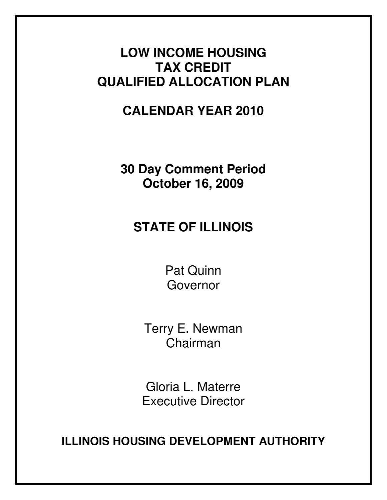# **LOW INCOME HOUSING TAX CREDIT QUALIFIED ALLOCATION PLAN**

# **CALENDAR YEAR 2010**

**30 Day Comment Period October 16, 2009** 

# **STATE OF ILLINOIS**

Pat Quinn Governor

Terry E. Newman Chairman

Gloria L. Materre Executive Director

**ILLINOIS HOUSING DEVELOPMENT AUTHORITY**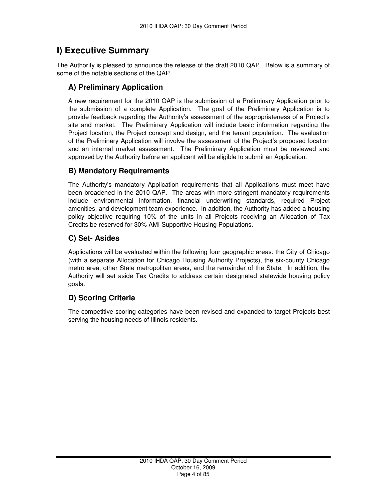## **I) Executive Summary**

The Authority is pleased to announce the release of the draft 2010 QAP. Below is a summary of some of the notable sections of the QAP.

## **A) Preliminary Application**

A new requirement for the 2010 QAP is the submission of a Preliminary Application prior to the submission of a complete Application. The goal of the Preliminary Application is to provide feedback regarding the Authority's assessment of the appropriateness of a Project's site and market. The Preliminary Application will include basic information regarding the Project location, the Project concept and design, and the tenant population. The evaluation of the Preliminary Application will involve the assessment of the Project's proposed location and an internal market assessment. The Preliminary Application must be reviewed and approved by the Authority before an applicant will be eligible to submit an Application.

## **B) Mandatory Requirements**

The Authority's mandatory Application requirements that all Applications must meet have been broadened in the 2010 QAP. The areas with more stringent mandatory requirements include environmental information, financial underwriting standards, required Project amenities, and development team experience. In addition, the Authority has added a housing policy objective requiring 10% of the units in all Projects receiving an Allocation of Tax Credits be reserved for 30% AMI Supportive Housing Populations.

## **C) Set- Asides**

Applications will be evaluated within the following four geographic areas: the City of Chicago (with a separate Allocation for Chicago Housing Authority Projects), the six-county Chicago metro area, other State metropolitan areas, and the remainder of the State. In addition, the Authority will set aside Tax Credits to address certain designated statewide housing policy goals.

## **D) Scoring Criteria**

The competitive scoring categories have been revised and expanded to target Projects best serving the housing needs of Illinois residents.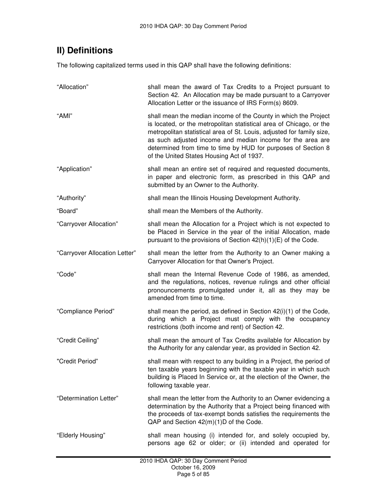## **II) Definitions**

The following capitalized terms used in this QAP shall have the following definitions:

| "Allocation"                  | shall mean the award of Tax Credits to a Project pursuant to<br>Section 42. An Allocation may be made pursuant to a Carryover<br>Allocation Letter or the issuance of IRS Form(s) 8609.                                                                                                                                                                                                     |
|-------------------------------|---------------------------------------------------------------------------------------------------------------------------------------------------------------------------------------------------------------------------------------------------------------------------------------------------------------------------------------------------------------------------------------------|
| "AMI"                         | shall mean the median income of the County in which the Project<br>is located, or the metropolitan statistical area of Chicago, or the<br>metropolitan statistical area of St. Louis, adjusted for family size,<br>as such adjusted income and median income for the area are<br>determined from time to time by HUD for purposes of Section 8<br>of the United States Housing Act of 1937. |
| "Application"                 | shall mean an entire set of required and requested documents,<br>in paper and electronic form, as prescribed in this QAP and<br>submitted by an Owner to the Authority.                                                                                                                                                                                                                     |
| "Authority"                   | shall mean the Illinois Housing Development Authority.                                                                                                                                                                                                                                                                                                                                      |
| "Board"                       | shall mean the Members of the Authority.                                                                                                                                                                                                                                                                                                                                                    |
| "Carryover Allocation"        | shall mean the Allocation for a Project which is not expected to<br>be Placed in Service in the year of the initial Allocation, made<br>pursuant to the provisions of Section 42(h)(1)(E) of the Code.                                                                                                                                                                                      |
| "Carryover Allocation Letter" | shall mean the letter from the Authority to an Owner making a<br>Carryover Allocation for that Owner's Project.                                                                                                                                                                                                                                                                             |
| "Code"                        | shall mean the Internal Revenue Code of 1986, as amended,<br>and the regulations, notices, revenue rulings and other official<br>pronouncements promulgated under it, all as they may be<br>amended from time to time.                                                                                                                                                                      |
| "Compliance Period"           | shall mean the period, as defined in Section 42(i)(1) of the Code,<br>during which a Project must comply with the occupancy<br>restrictions (both income and rent) of Section 42.                                                                                                                                                                                                           |
| "Credit Ceiling"              | shall mean the amount of Tax Credits available for Allocation by<br>the Authority for any calendar year, as provided in Section 42.                                                                                                                                                                                                                                                         |
| "Credit Period"               | shall mean with respect to any building in a Project, the period of<br>ten taxable years beginning with the taxable year in which such<br>building is Placed In Service or, at the election of the Owner, the<br>following taxable year.                                                                                                                                                    |
| "Determination Letter"        | shall mean the letter from the Authority to an Owner evidencing a<br>determination by the Authority that a Project being financed with<br>the proceeds of tax-exempt bonds satisfies the requirements the<br>QAP and Section 42(m)(1)D of the Code.                                                                                                                                         |
| "Elderly Housing"             | shall mean housing (i) intended for, and solely occupied by,<br>persons age 62 or older; or (ii) intended and operated for                                                                                                                                                                                                                                                                  |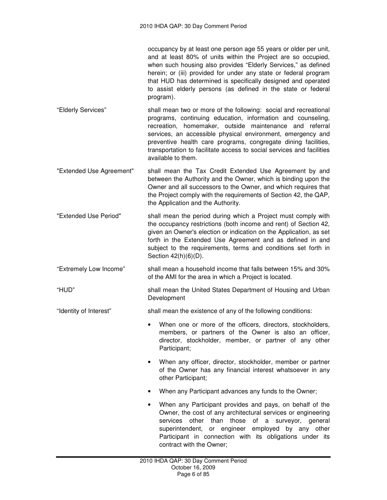occupancy by at least one person age 55 years or older per unit, and at least 80% of units within the Project are so occupied, when such housing also provides "Elderly Services," as defined herein; or (iii) provided for under any state or federal program that HUD has determined is specifically designed and operated to assist elderly persons (as defined in the state or federal program).

- "Elderly Services" shall mean two or more of the following: social and recreational programs, continuing education, information and counseling, recreation, homemaker, outside maintenance and referral services, an accessible physical environment, emergency and preventive health care programs, congregate dining facilities, transportation to facilitate access to social services and facilities available to them.
- "Extended Use Agreement" shall mean the Tax Credit Extended Use Agreement by and between the Authority and the Owner, which is binding upon the Owner and all successors to the Owner, and which requires that the Project comply with the requirements of Section 42, the QAP, the Application and the Authority.
- "Extended Use Period" shall mean the period during which a Project must comply with the occupancy restrictions (both income and rent) of Section 42, given an Owner's election or indication on the Application, as set forth in the Extended Use Agreement and as defined in and subject to the requirements, terms and conditions set forth in Section 42(h)(6)(D).
- "Extremely Low Income" shall mean a household income that falls between 15% and 30% of the AMI for the area in which a Project is located.

"HUD" shall mean the United States Department of Housing and Urban Development

- "Identity of Interest" shall mean the existence of any of the following conditions:
	- When one or more of the officers, directors, stockholders, members, or partners of the Owner is also an officer, director, stockholder, member, or partner of any other Participant;
	- When any officer, director, stockholder, member or partner of the Owner has any financial interest whatsoever in any other Participant;
	- When any Participant advances any funds to the Owner;
	- When any Participant provides and pays, on behalf of the Owner, the cost of any architectural services or engineering services other than those of a surveyor, general superintendent, or engineer employed by any other Participant in connection with its obligations under its contract with the Owner;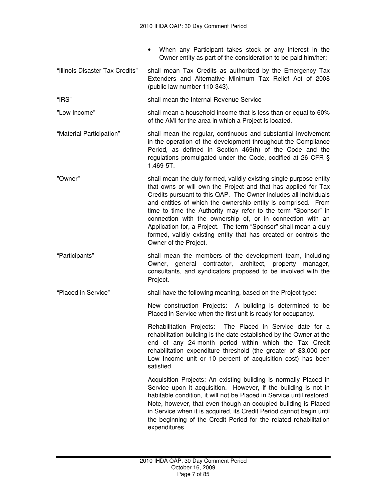- When any Participant takes stock or any interest in the Owner entity as part of the consideration to be paid him/her;
- "Illinois Disaster Tax Credits" shall mean Tax Credits as authorized by the Emergency Tax Extenders and Alternative Minimum Tax Relief Act of 2008 (public law number 110-343).
- "IRS" shall mean the Internal Revenue Service
- "Low Income" shall mean a household income that is less than or equal to 60% of the AMI for the area in which a Project is located.
- "Material Participation" shall mean the regular, continuous and substantial involvement in the operation of the development throughout the Compliance Period, as defined in Section 469(h) of the Code and the regulations promulgated under the Code, codified at 26 CFR § 1.469-5T.
- "Owner" shall mean the duly formed, validly existing single purpose entity that owns or will own the Project and that has applied for Tax Credits pursuant to this QAP. The Owner includes all individuals and entities of which the ownership entity is comprised. From time to time the Authority may refer to the term "Sponsor" in connection with the ownership of, or in connection with an Application for, a Project. The term "Sponsor" shall mean a duly formed, validly existing entity that has created or controls the Owner of the Project.
- "Participants" shall mean the members of the development team, including Owner, general contractor, architect, property manager, consultants, and syndicators proposed to be involved with the Project.

"Placed in Service" shall have the following meaning, based on the Project type:

New construction Projects: A building is determined to be Placed in Service when the first unit is ready for occupancy.

Rehabilitation Projects: The Placed in Service date for a rehabilitation building is the date established by the Owner at the end of any 24-month period within which the Tax Credit rehabilitation expenditure threshold (the greater of \$3,000 per Low Income unit or 10 percent of acquisition cost) has been satisfied.

Acquisition Projects: An existing building is normally Placed in Service upon it acquisition. However, if the building is not in habitable condition, it will not be Placed in Service until restored. Note, however, that even though an occupied building is Placed in Service when it is acquired, its Credit Period cannot begin until the beginning of the Credit Period for the related rehabilitation expenditures.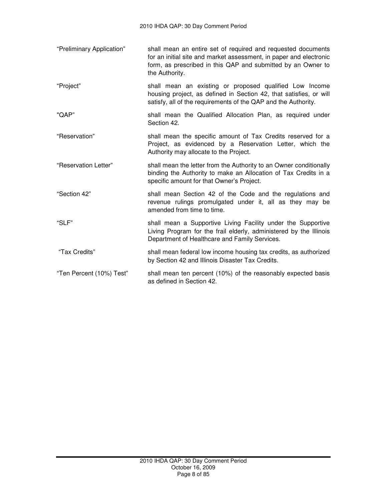- "Preliminary Application" shall mean an entire set of required and requested documents for an initial site and market assessment, in paper and electronic form, as prescribed in this QAP and submitted by an Owner to the Authority.
- "Project" shall mean an existing or proposed qualified Low Income housing project, as defined in Section 42, that satisfies, or will satisfy, all of the requirements of the QAP and the Authority.
- "QAP" shall mean the Qualified Allocation Plan, as required under Section 42.
- "Reservation" shall mean the specific amount of Tax Credits reserved for a Project, as evidenced by a Reservation Letter, which the Authority may allocate to the Project.
- "Reservation Letter" shall mean the letter from the Authority to an Owner conditionally binding the Authority to make an Allocation of Tax Credits in a specific amount for that Owner's Project.
- "Section 42" shall mean Section 42 of the Code and the regulations and revenue rulings promulgated under it, all as they may be amended from time to time.
- "SLF" shall mean a Supportive Living Facility under the Supportive Living Program for the frail elderly, administered by the Illinois Department of Healthcare and Family Services.
- "Tax Credits" shall mean federal low income housing tax credits, as authorized by Section 42 and Illinois Disaster Tax Credits.
- "Ten Percent (10%) Test" shall mean ten percent (10%) of the reasonably expected basis as defined in Section 42.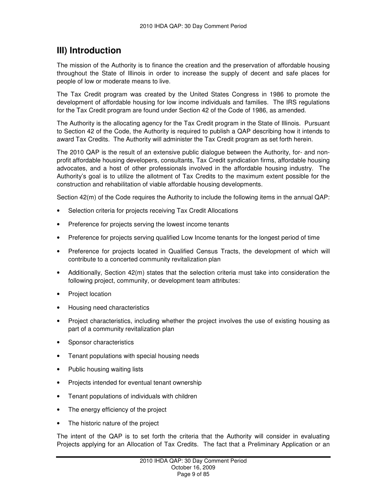## **III) Introduction**

The mission of the Authority is to finance the creation and the preservation of affordable housing throughout the State of Illinois in order to increase the supply of decent and safe places for people of low or moderate means to live.

The Tax Credit program was created by the United States Congress in 1986 to promote the development of affordable housing for low income individuals and families. The IRS regulations for the Tax Credit program are found under Section 42 of the Code of 1986, as amended.

The Authority is the allocating agency for the Tax Credit program in the State of Illinois. Pursuant to Section 42 of the Code, the Authority is required to publish a QAP describing how it intends to award Tax Credits. The Authority will administer the Tax Credit program as set forth herein.

The 2010 QAP is the result of an extensive public dialogue between the Authority, for- and nonprofit affordable housing developers, consultants, Tax Credit syndication firms, affordable housing advocates, and a host of other professionals involved in the affordable housing industry. The Authority's goal is to utilize the allotment of Tax Credits to the maximum extent possible for the construction and rehabilitation of viable affordable housing developments.

Section 42(m) of the Code requires the Authority to include the following items in the annual QAP:

- Selection criteria for projects receiving Tax Credit Allocations
- Preference for projects serving the lowest income tenants
- Preference for projects serving qualified Low Income tenants for the longest period of time
- Preference for projects located in Qualified Census Tracts, the development of which will contribute to a concerted community revitalization plan
- Additionally, Section 42(m) states that the selection criteria must take into consideration the following project, community, or development team attributes:
- Project location
- Housing need characteristics
- Project characteristics, including whether the project involves the use of existing housing as part of a community revitalization plan
- Sponsor characteristics
- Tenant populations with special housing needs
- Public housing waiting lists
- Projects intended for eventual tenant ownership
- Tenant populations of individuals with children
- The energy efficiency of the project
- The historic nature of the project

The intent of the QAP is to set forth the criteria that the Authority will consider in evaluating Projects applying for an Allocation of Tax Credits. The fact that a Preliminary Application or an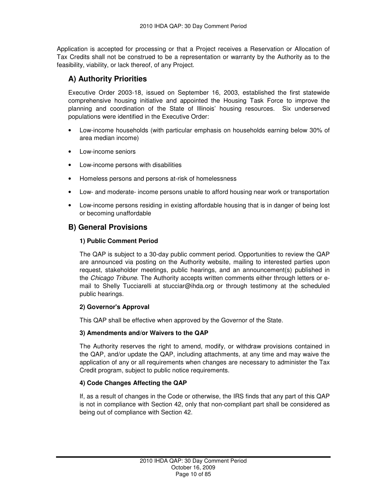Application is accepted for processing or that a Project receives a Reservation or Allocation of Tax Credits shall not be construed to be a representation or warranty by the Authority as to the feasibility, viability, or lack thereof, of any Project.

## **A) Authority Priorities**

Executive Order 2003-18, issued on September 16, 2003, established the first statewide comprehensive housing initiative and appointed the Housing Task Force to improve the planning and coordination of the State of Illinois' housing resources. Six underserved populations were identified in the Executive Order:

- Low-income households (with particular emphasis on households earning below 30% of area median income)
- Low-income seniors
- Low-income persons with disabilities
- Homeless persons and persons at-risk of homelessness
- Low- and moderate- income persons unable to afford housing near work or transportation
- Low-income persons residing in existing affordable housing that is in danger of being lost or becoming unaffordable

## **B) General Provisions**

#### **1) Public Comment Period**

The QAP is subject to a 30-day public comment period. Opportunities to review the QAP are announced via posting on the Authority website, mailing to interested parties upon request, stakeholder meetings, public hearings, and an announcement(s) published in the Chicago Tribune. The Authority accepts written comments either through letters or email to Shelly Tucciarelli at stucciar@ihda.org or through testimony at the scheduled public hearings.

## **2) Governor's Approval**

This QAP shall be effective when approved by the Governor of the State.

#### **3) Amendments and/or Waivers to the QAP**

The Authority reserves the right to amend, modify, or withdraw provisions contained in the QAP, and/or update the QAP, including attachments, at any time and may waive the application of any or all requirements when changes are necessary to administer the Tax Credit program, subject to public notice requirements.

## **4) Code Changes Affecting the QAP**

If, as a result of changes in the Code or otherwise, the IRS finds that any part of this QAP is not in compliance with Section 42, only that non-compliant part shall be considered as being out of compliance with Section 42.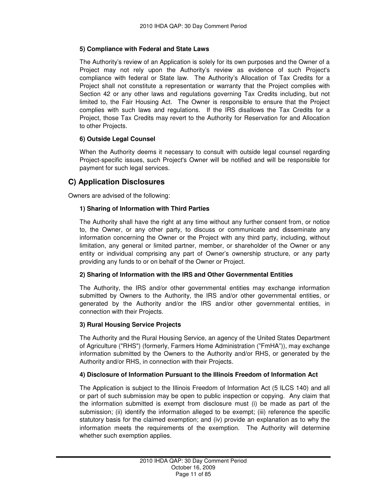#### **5) Compliance with Federal and State Laws**

The Authority's review of an Application is solely for its own purposes and the Owner of a Project may not rely upon the Authority's review as evidence of such Project's compliance with federal or State law. The Authority's Allocation of Tax Credits for a Project shall not constitute a representation or warranty that the Project complies with Section 42 or any other laws and regulations governing Tax Credits including, but not limited to, the Fair Housing Act. The Owner is responsible to ensure that the Project complies with such laws and regulations. If the IRS disallows the Tax Credits for a Project, those Tax Credits may revert to the Authority for Reservation for and Allocation to other Projects.

#### **6) Outside Legal Counsel**

When the Authority deems it necessary to consult with outside legal counsel regarding Project-specific issues, such Project's Owner will be notified and will be responsible for payment for such legal services.

## **C) Application Disclosures**

Owners are advised of the following:

#### **1) Sharing of Information with Third Parties**

The Authority shall have the right at any time without any further consent from, or notice to, the Owner, or any other party, to discuss or communicate and disseminate any information concerning the Owner or the Project with any third party, including, without limitation, any general or limited partner, member, or shareholder of the Owner or any entity or individual comprising any part of Owner's ownership structure, or any party providing any funds to or on behalf of the Owner or Project.

#### **2) Sharing of Information with the IRS and Other Governmental Entities**

The Authority, the IRS and/or other governmental entities may exchange information submitted by Owners to the Authority, the IRS and/or other governmental entities, or generated by the Authority and/or the IRS and/or other governmental entities, in connection with their Projects.

#### **3) Rural Housing Service Projects**

The Authority and the Rural Housing Service, an agency of the United States Department of Agriculture ("RHS") (formerly, Farmers Home Administration ("FmHA")), may exchange information submitted by the Owners to the Authority and/or RHS, or generated by the Authority and/or RHS, in connection with their Projects.

#### **4) Disclosure of Information Pursuant to the Illinois Freedom of Information Act**

The Application is subject to the Illinois Freedom of Information Act (5 ILCS 140) and all or part of such submission may be open to public inspection or copying. Any claim that the information submitted is exempt from disclosure must (i) be made as part of the submission; (ii) identify the information alleged to be exempt; (iii) reference the specific statutory basis for the claimed exemption; and (iv) provide an explanation as to why the information meets the requirements of the exemption. The Authority will determine whether such exemption applies.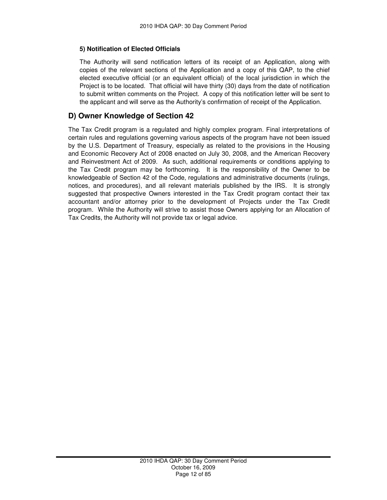#### **5) Notification of Elected Officials**

The Authority will send notification letters of its receipt of an Application, along with copies of the relevant sections of the Application and a copy of this QAP, to the chief elected executive official (or an equivalent official) of the local jurisdiction in which the Project is to be located. That official will have thirty (30) days from the date of notification to submit written comments on the Project. A copy of this notification letter will be sent to the applicant and will serve as the Authority's confirmation of receipt of the Application.

### **D) Owner Knowledge of Section 42**

The Tax Credit program is a regulated and highly complex program. Final interpretations of certain rules and regulations governing various aspects of the program have not been issued by the U.S. Department of Treasury, especially as related to the provisions in the Housing and Economic Recovery Act of 2008 enacted on July 30, 2008, and the American Recovery and Reinvestment Act of 2009. As such, additional requirements or conditions applying to the Tax Credit program may be forthcoming. It is the responsibility of the Owner to be knowledgeable of Section 42 of the Code, regulations and administrative documents (rulings, notices, and procedures), and all relevant materials published by the IRS. It is strongly suggested that prospective Owners interested in the Tax Credit program contact their tax accountant and/or attorney prior to the development of Projects under the Tax Credit program. While the Authority will strive to assist those Owners applying for an Allocation of Tax Credits, the Authority will not provide tax or legal advice.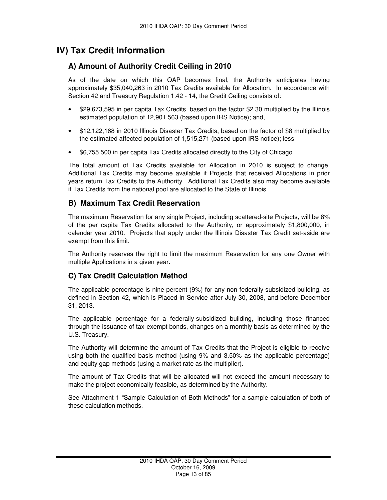## **IV) Tax Credit Information**

## **A) Amount of Authority Credit Ceiling in 2010**

As of the date on which this QAP becomes final, the Authority anticipates having approximately \$35,040,263 in 2010 Tax Credits available for Allocation. In accordance with Section 42 and Treasury Regulation 1.42 - 14, the Credit Ceiling consists of:

- \$29,673,595 in per capita Tax Credits, based on the factor \$2.30 multiplied by the Illinois estimated population of 12,901,563 (based upon IRS Notice); and,
- \$12,122,168 in 2010 Illinois Disaster Tax Credits, based on the factor of \$8 multiplied by the estimated affected population of 1,515,271 (based upon IRS notice); less
- \$6,755,500 in per capita Tax Credits allocated directly to the City of Chicago.

The total amount of Tax Credits available for Allocation in 2010 is subject to change. Additional Tax Credits may become available if Projects that received Allocations in prior years return Tax Credits to the Authority. Additional Tax Credits also may become available if Tax Credits from the national pool are allocated to the State of Illinois.

## **B) Maximum Tax Credit Reservation**

The maximum Reservation for any single Project, including scattered-site Projects, will be 8% of the per capita Tax Credits allocated to the Authority, or approximately \$1,800,000, in calendar year 2010. Projects that apply under the Illinois Disaster Tax Credit set-aside are exempt from this limit.

The Authority reserves the right to limit the maximum Reservation for any one Owner with multiple Applications in a given year.

## **C) Tax Credit Calculation Method**

The applicable percentage is nine percent (9%) for any non-federally-subsidized building, as defined in Section 42, which is Placed in Service after July 30, 2008, and before December 31, 2013.

The applicable percentage for a federally-subsidized building, including those financed through the issuance of tax-exempt bonds, changes on a monthly basis as determined by the U.S. Treasury.

The Authority will determine the amount of Tax Credits that the Project is eligible to receive using both the qualified basis method (using 9% and 3.50% as the applicable percentage) and equity gap methods (using a market rate as the multiplier).

The amount of Tax Credits that will be allocated will not exceed the amount necessary to make the project economically feasible, as determined by the Authority.

See Attachment 1 "Sample Calculation of Both Methods" for a sample calculation of both of these calculation methods.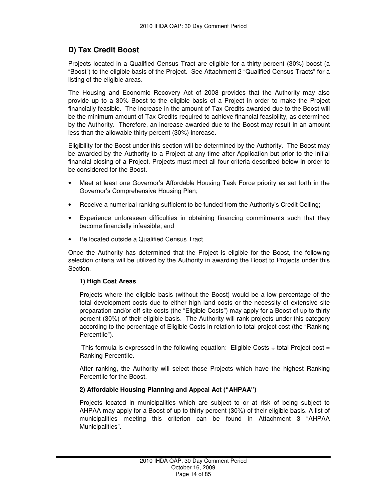## **D) Tax Credit Boost**

Projects located in a Qualified Census Tract are eligible for a thirty percent (30%) boost (a "Boost") to the eligible basis of the Project. See Attachment 2 "Qualified Census Tracts" for a listing of the eligible areas.

The Housing and Economic Recovery Act of 2008 provides that the Authority may also provide up to a 30% Boost to the eligible basis of a Project in order to make the Project financially feasible. The increase in the amount of Tax Credits awarded due to the Boost will be the minimum amount of Tax Credits required to achieve financial feasibility, as determined by the Authority. Therefore, an increase awarded due to the Boost may result in an amount less than the allowable thirty percent (30%) increase.

Eligibility for the Boost under this section will be determined by the Authority. The Boost may be awarded by the Authority to a Project at any time after Application but prior to the initial financial closing of a Project. Projects must meet all four criteria described below in order to be considered for the Boost.

- Meet at least one Governor's Affordable Housing Task Force priority as set forth in the Governor's Comprehensive Housing Plan;
- Receive a numerical ranking sufficient to be funded from the Authority's Credit Ceiling;
- Experience unforeseen difficulties in obtaining financing commitments such that they become financially infeasible; and
- Be located outside a Qualified Census Tract.

Once the Authority has determined that the Project is eligible for the Boost, the following selection criteria will be utilized by the Authority in awarding the Boost to Projects under this Section.

#### **1) High Cost Areas**

Projects where the eligible basis (without the Boost) would be a low percentage of the total development costs due to either high land costs or the necessity of extensive site preparation and/or off-site costs (the "Eligible Costs") may apply for a Boost of up to thirty percent (30%) of their eligible basis. The Authority will rank projects under this category according to the percentage of Eligible Costs in relation to total project cost (the "Ranking Percentile").

This formula is expressed in the following equation: Eligible Costs  $\div$  total Project cost = Ranking Percentile.

After ranking, the Authority will select those Projects which have the highest Ranking Percentile for the Boost.

#### **2) Affordable Housing Planning and Appeal Act ("AHPAA")**

Projects located in municipalities which are subject to or at risk of being subject to AHPAA may apply for a Boost of up to thirty percent (30%) of their eligible basis. A list of municipalities meeting this criterion can be found in Attachment 3 "AHPAA Municipalities".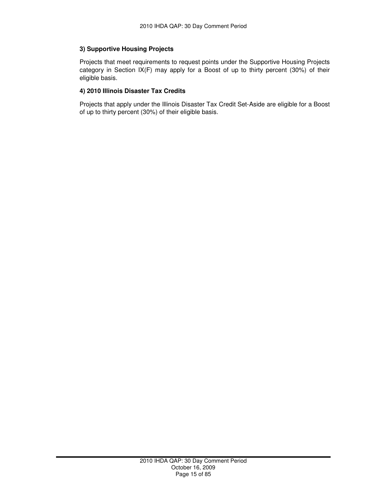#### **3) Supportive Housing Projects**

Projects that meet requirements to request points under the Supportive Housing Projects category in Section IX(F) may apply for a Boost of up to thirty percent (30%) of their eligible basis.

#### **4) 2010 Illinois Disaster Tax Credits**

Projects that apply under the Illinois Disaster Tax Credit Set-Aside are eligible for a Boost of up to thirty percent (30%) of their eligible basis.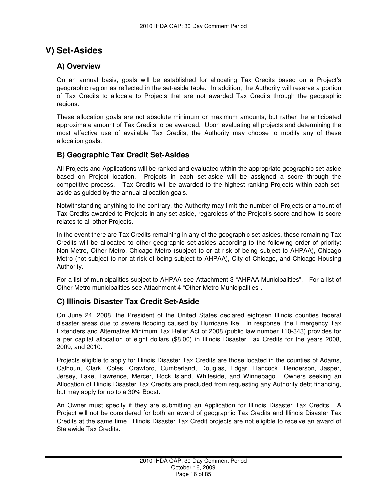## **V) Set-Asides**

### **A) Overview**

On an annual basis, goals will be established for allocating Tax Credits based on a Project's geographic region as reflected in the set-aside table. In addition, the Authority will reserve a portion of Tax Credits to allocate to Projects that are not awarded Tax Credits through the geographic regions.

These allocation goals are not absolute minimum or maximum amounts, but rather the anticipated approximate amount of Tax Credits to be awarded. Upon evaluating all projects and determining the most effective use of available Tax Credits, the Authority may choose to modify any of these allocation goals.

## **B) Geographic Tax Credit Set-Asides**

All Projects and Applications will be ranked and evaluated within the appropriate geographic set-aside based on Project location. Projects in each set-aside will be assigned a score through the competitive process. Tax Credits will be awarded to the highest ranking Projects within each setaside as guided by the annual allocation goals.

Notwithstanding anything to the contrary, the Authority may limit the number of Projects or amount of Tax Credits awarded to Projects in any set-aside, regardless of the Project's score and how its score relates to all other Projects.

In the event there are Tax Credits remaining in any of the geographic set-asides, those remaining Tax Credits will be allocated to other geographic set-asides according to the following order of priority: Non-Metro, Other Metro, Chicago Metro (subject to or at risk of being subject to AHPAA), Chicago Metro (not subject to nor at risk of being subject to AHPAA), City of Chicago, and Chicago Housing Authority.

For a list of municipalities subject to AHPAA see Attachment 3 "AHPAA Municipalities". For a list of Other Metro municipalities see Attachment 4 "Other Metro Municipalities".

## **C) Illinois Disaster Tax Credit Set-Aside**

On June 24, 2008, the President of the United States declared eighteen Illinois counties federal disaster areas due to severe flooding caused by Hurricane Ike. In response, the Emergency Tax Extenders and Alternative Minimum Tax Relief Act of 2008 (public law number 110-343) provides for a per capital allocation of eight dollars (\$8.00) in Illinois Disaster Tax Credits for the years 2008, 2009, and 2010.

Projects eligible to apply for Illinois Disaster Tax Credits are those located in the counties of Adams, Calhoun, Clark, Coles, Crawford, Cumberland, Douglas, Edgar, Hancock, Henderson, Jasper, Jersey, Lake, Lawrence, Mercer, Rock Island, Whiteside, and Winnebago. Owners seeking an Allocation of Illinois Disaster Tax Credits are precluded from requesting any Authority debt financing, but may apply for up to a 30% Boost.

An Owner must specify if they are submitting an Application for Illinois Disaster Tax Credits. A Project will not be considered for both an award of geographic Tax Credits and Illinois Disaster Tax Credits at the same time. Illinois Disaster Tax Credit projects are not eligible to receive an award of Statewide Tax Credits.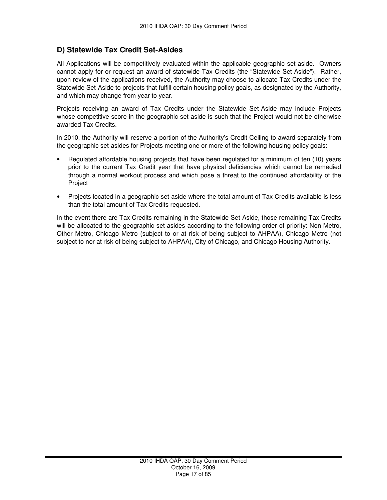## **D) Statewide Tax Credit Set-Asides**

All Applications will be competitively evaluated within the applicable geographic set-aside. Owners cannot apply for or request an award of statewide Tax Credits (the "Statewide Set-Aside"). Rather, upon review of the applications received, the Authority may choose to allocate Tax Credits under the Statewide Set-Aside to projects that fulfill certain housing policy goals, as designated by the Authority, and which may change from year to year.

Projects receiving an award of Tax Credits under the Statewide Set-Aside may include Projects whose competitive score in the geographic set-aside is such that the Project would not be otherwise awarded Tax Credits.

In 2010, the Authority will reserve a portion of the Authority's Credit Ceiling to award separately from the geographic set-asides for Projects meeting one or more of the following housing policy goals:

- Regulated affordable housing projects that have been regulated for a minimum of ten (10) years prior to the current Tax Credit year that have physical deficiencies which cannot be remedied through a normal workout process and which pose a threat to the continued affordability of the Project
- Projects located in a geographic set-aside where the total amount of Tax Credits available is less than the total amount of Tax Credits requested.

In the event there are Tax Credits remaining in the Statewide Set-Aside, those remaining Tax Credits will be allocated to the geographic set-asides according to the following order of priority: Non-Metro, Other Metro, Chicago Metro (subject to or at risk of being subject to AHPAA), Chicago Metro (not subject to nor at risk of being subject to AHPAA), City of Chicago, and Chicago Housing Authority.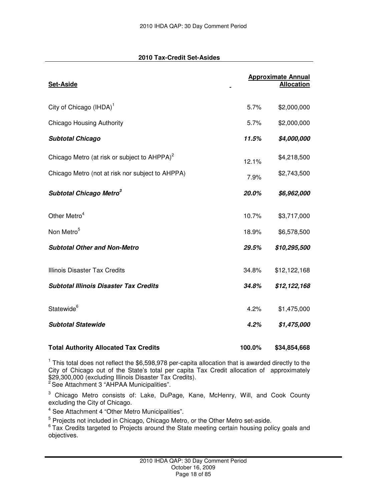#### **2010 Tax-Credit Set-Asides**

| <b>Set-Aside</b>                                         |       | <b>Approximate Annual</b><br><b>Allocation</b> |
|----------------------------------------------------------|-------|------------------------------------------------|
| City of Chicago (IHDA) <sup>1</sup>                      | 5.7%  | \$2,000,000                                    |
| <b>Chicago Housing Authority</b>                         | 5.7%  | \$2,000,000                                    |
| <b>Subtotal Chicago</b>                                  | 11.5% | \$4,000,000                                    |
| Chicago Metro (at risk or subject to AHPPA) <sup>2</sup> | 12.1% | \$4,218,500                                    |
| Chicago Metro (not at risk nor subject to AHPPA)         | 7.9%  | \$2,743,500                                    |
| Subtotal Chicago Metro <sup>3</sup>                      | 20.0% | \$6,962,000                                    |
| Other Metro <sup>4</sup>                                 | 10.7% | \$3,717,000                                    |
| Non Metro <sup>5</sup>                                   | 18.9% | \$6,578,500                                    |
| <b>Subtotal Other and Non-Metro</b>                      | 29.5% | \$10,295,500                                   |
| Illinois Disaster Tax Credits                            | 34.8% | \$12,122,168                                   |
| <b>Subtotal Illinois Disaster Tax Credits</b>            | 34.8% | \$12,122,168                                   |
| Statewide <sup>6</sup>                                   | 4.2%  | \$1,475,000                                    |
| <b>Subtotal Statewide</b>                                | 4.2%  | \$1,475,000                                    |
|                                                          |       |                                                |

<sup>1</sup> This total does not reflect the \$6,598,978 per-capita allocation that is awarded directly to the City of Chicago out of the State's total per capita Tax Credit allocation of approximately \$29,300,000 (excluding Illinois Disaster Tax Credits).

**Total Authority Allocated Tax Credits 100.0% \$34,854,668**

 $2$  See Attachment 3 "AHPAA Municipalities".

<sup>3</sup> Chicago Metro consists of: Lake, DuPage, Kane, McHenry, Will, and Cook County excluding the City of Chicago.

<sup>4</sup> See Attachment 4 "Other Metro Municipalities".

<sup>5</sup> Projects not included in Chicago, Chicago Metro, or the Other Metro set-aside.

<sup>6</sup> Tax Credits targeted to Projects around the State meeting certain housing policy goals and objectives.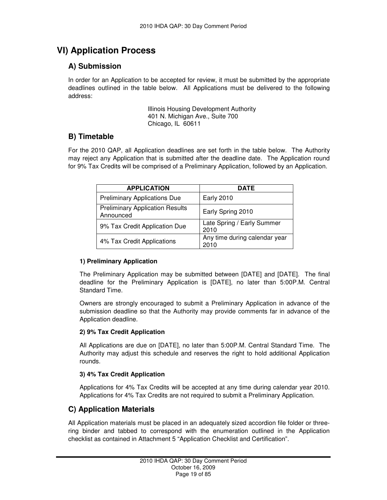## **VI) Application Process**

## **A) Submission**

In order for an Application to be accepted for review, it must be submitted by the appropriate deadlines outlined in the table below. All Applications must be delivered to the following address:

> Illinois Housing Development Authority 401 N. Michigan Ave., Suite 700 Chicago, IL 60611

## **B) Timetable**

For the 2010 QAP, all Application deadlines are set forth in the table below. The Authority may reject any Application that is submitted after the deadline date. The Application round for 9% Tax Credits will be comprised of a Preliminary Application, followed by an Application.

| <b>APPLICATION</b>                                  | <b>DATE</b>                           |
|-----------------------------------------------------|---------------------------------------|
| <b>Preliminary Applications Due</b>                 | <b>Early 2010</b>                     |
| <b>Preliminary Application Results</b><br>Announced | Early Spring 2010                     |
| 9% Tax Credit Application Due                       | Late Spring / Early Summer<br>2010    |
| 4% Tax Credit Applications                          | Any time during calendar year<br>2010 |

#### **1) Preliminary Application**

The Preliminary Application may be submitted between [DATE] and [DATE]. The final deadline for the Preliminary Application is [DATE], no later than 5:00P.M. Central Standard Time.

Owners are strongly encouraged to submit a Preliminary Application in advance of the submission deadline so that the Authority may provide comments far in advance of the Application deadline.

#### **2) 9% Tax Credit Application**

All Applications are due on [DATE], no later than 5:00P.M. Central Standard Time. The Authority may adjust this schedule and reserves the right to hold additional Application rounds.

#### **3) 4% Tax Credit Application**

Applications for 4% Tax Credits will be accepted at any time during calendar year 2010. Applications for 4% Tax Credits are not required to submit a Preliminary Application.

## **C) Application Materials**

All Application materials must be placed in an adequately sized accordion file folder or threering binder and tabbed to correspond with the enumeration outlined in the Application checklist as contained in Attachment 5 "Application Checklist and Certification".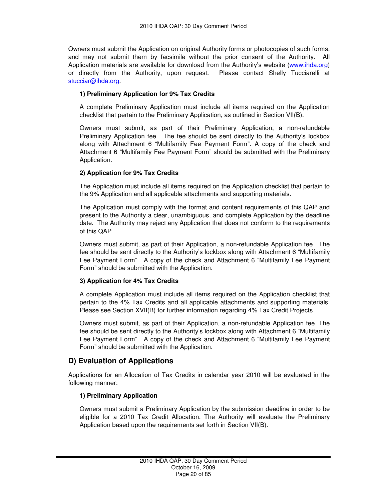Owners must submit the Application on original Authority forms or photocopies of such forms, and may not submit them by facsimile without the prior consent of the Authority. All Application materials are available for download from the Authority's website (www.ihda.org) or directly from the Authority, upon request. Please contact Shelly Tucciarelli at stucciar@ihda.org.

#### **1) Preliminary Application for 9% Tax Credits**

A complete Preliminary Application must include all items required on the Application checklist that pertain to the Preliminary Application, as outlined in Section VII(B).

Owners must submit, as part of their Preliminary Application, a non-refundable Preliminary Application fee. The fee should be sent directly to the Authority's lockbox along with Attachment 6 "Multifamily Fee Payment Form". A copy of the check and Attachment 6 "Multifamily Fee Payment Form" should be submitted with the Preliminary Application.

#### **2) Application for 9% Tax Credits**

The Application must include all items required on the Application checklist that pertain to the 9% Application and all applicable attachments and supporting materials.

The Application must comply with the format and content requirements of this QAP and present to the Authority a clear, unambiguous, and complete Application by the deadline date. The Authority may reject any Application that does not conform to the requirements of this QAP.

Owners must submit, as part of their Application, a non-refundable Application fee. The fee should be sent directly to the Authority's lockbox along with Attachment 6 "Multifamily Fee Payment Form". A copy of the check and Attachment 6 "Multifamily Fee Payment Form" should be submitted with the Application.

#### **3) Application for 4% Tax Credits**

A complete Application must include all items required on the Application checklist that pertain to the 4% Tax Credits and all applicable attachments and supporting materials. Please see Section XVII(B) for further information regarding 4% Tax Credit Projects.

Owners must submit, as part of their Application, a non-refundable Application fee. The fee should be sent directly to the Authority's lockbox along with Attachment 6 "Multifamily Fee Payment Form". A copy of the check and Attachment 6 "Multifamily Fee Payment Form" should be submitted with the Application.

## **D) Evaluation of Applications**

Applications for an Allocation of Tax Credits in calendar year 2010 will be evaluated in the following manner:

#### **1) Preliminary Application**

Owners must submit a Preliminary Application by the submission deadline in order to be eligible for a 2010 Tax Credit Allocation. The Authority will evaluate the Preliminary Application based upon the requirements set forth in Section VII(B).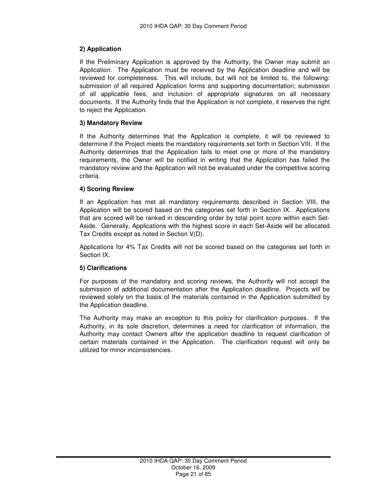#### **2) Application**

If the Preliminary Application is approved by the Authority, the Owner may submit an Application. The Application must be received by the Application deadline and will be reviewed for completeness. This will include, but will not be limited to, the following: submission of all required Application forms and supporting documentation; submission of all applicable fees; and inclusion of appropriate signatures on all necessary documents. If the Authority finds that the Application is not complete, it reserves the right to reject the Application.

#### **3) Mandatory Review**

If the Authority determines that the Application is complete, it will be reviewed to determine if the Project meets the mandatory requirements set forth in Section VIII. If the Authority determines that the Application fails to meet one or more of the mandatory requirements, the Owner will be notified in writing that the Application has failed the mandatory review and the Application will not be evaluated under the competitive scoring criteria.

#### **4) Scoring Review**

If an Application has met all mandatory requirements described in Section VIII, the Application will be scored based on the categories set forth in Section IX. Applications that are scored will be ranked in descending order by total point score within each Set-Aside. Generally, Applications with the highest score in each Set-Aside will be allocated Tax Credits except as noted in Section V(D).

Applications for 4% Tax Credits will not be scored based on the categories set forth in Section IX.

#### **5) Clarifications**

For purposes of the mandatory and scoring reviews, the Authority will not accept the submission of additional documentation after the Application deadline. Projects will be reviewed solely on the basis of the materials contained in the Application submitted by the Application deadline.

The Authority may make an exception to this policy for clarification purposes. If the Authority, in its sole discretion, determines a need for clarification of information, the Authority may contact Owners after the application deadline to request clarification of certain materials contained in the Application. The clarification request will only be utilized for minor inconsistencies.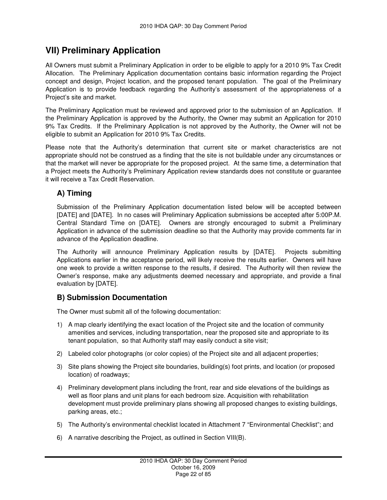## **VII) Preliminary Application**

All Owners must submit a Preliminary Application in order to be eligible to apply for a 2010 9% Tax Credit Allocation. The Preliminary Application documentation contains basic information regarding the Project concept and design, Project location, and the proposed tenant population. The goal of the Preliminary Application is to provide feedback regarding the Authority's assessment of the appropriateness of a Project's site and market.

The Preliminary Application must be reviewed and approved prior to the submission of an Application. If the Preliminary Application is approved by the Authority, the Owner may submit an Application for 2010 9% Tax Credits. If the Preliminary Application is not approved by the Authority, the Owner will not be eligible to submit an Application for 2010 9% Tax Credits.

Please note that the Authority's determination that current site or market characteristics are not appropriate should not be construed as a finding that the site is not buildable under any circumstances or that the market will never be appropriate for the proposed project. At the same time, a determination that a Project meets the Authority's Preliminary Application review standards does not constitute or guarantee it will receive a Tax Credit Reservation.

## **A) Timing**

Submission of the Preliminary Application documentation listed below will be accepted between [DATE] and [DATE]. In no cases will Preliminary Application submissions be accepted after 5:00P.M. Central Standard Time on [DATE]. Owners are strongly encouraged to submit a Preliminary Application in advance of the submission deadline so that the Authority may provide comments far in advance of the Application deadline.

The Authority will announce Preliminary Application results by [DATE]. Projects submitting Applications earlier in the acceptance period, will likely receive the results earlier. Owners will have one week to provide a written response to the results, if desired. The Authority will then review the Owner's response, make any adjustments deemed necessary and appropriate, and provide a final evaluation by [DATE].

## **B) Submission Documentation**

The Owner must submit all of the following documentation:

- 1) A map clearly identifying the exact location of the Project site and the location of community amenities and services, including transportation, near the proposed site and appropriate to its tenant population, so that Authority staff may easily conduct a site visit;
- 2) Labeled color photographs (or color copies) of the Project site and all adjacent properties;
- 3) Site plans showing the Project site boundaries, building(s) foot prints, and location (or proposed location) of roadways;
- 4) Preliminary development plans including the front, rear and side elevations of the buildings as well as floor plans and unit plans for each bedroom size. Acquisition with rehabilitation development must provide preliminary plans showing all proposed changes to existing buildings, parking areas, etc.;
- 5) The Authority's environmental checklist located in Attachment 7 "Environmental Checklist"; and
- 6) A narrative describing the Project, as outlined in Section VIII(B).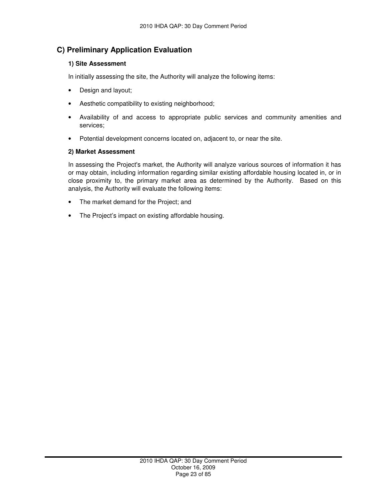## **C) Preliminary Application Evaluation**

#### **1) Site Assessment**

In initially assessing the site, the Authority will analyze the following items:

- Design and layout;
- Aesthetic compatibility to existing neighborhood;
- Availability of and access to appropriate public services and community amenities and services;
- Potential development concerns located on, adjacent to, or near the site.

#### **2) Market Assessment**

In assessing the Project's market, the Authority will analyze various sources of information it has or may obtain, including information regarding similar existing affordable housing located in, or in close proximity to, the primary market area as determined by the Authority. Based on this analysis, the Authority will evaluate the following items:

- The market demand for the Project; and
- The Project's impact on existing affordable housing.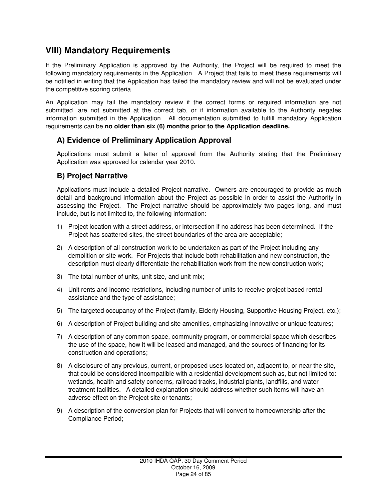## **VIII) Mandatory Requirements**

If the Preliminary Application is approved by the Authority, the Project will be required to meet the following mandatory requirements in the Application. A Project that fails to meet these requirements will be notified in writing that the Application has failed the mandatory review and will not be evaluated under the competitive scoring criteria.

An Application may fail the mandatory review if the correct forms or required information are not submitted, are not submitted at the correct tab, or if information available to the Authority negates information submitted in the Application. All documentation submitted to fulfill mandatory Application requirements can be **no older than six (6) months prior to the Application deadline.** 

## **A) Evidence of Preliminary Application Approval**

Applications must submit a letter of approval from the Authority stating that the Preliminary Application was approved for calendar year 2010.

## **B) Project Narrative**

Applications must include a detailed Project narrative. Owners are encouraged to provide as much detail and background information about the Project as possible in order to assist the Authority in assessing the Project. The Project narrative should be approximately two pages long, and must include, but is not limited to, the following information:

- 1) Project location with a street address, or intersection if no address has been determined. If the Project has scattered sites, the street boundaries of the area are acceptable;
- 2) A description of all construction work to be undertaken as part of the Project including any demolition or site work. For Projects that include both rehabilitation and new construction, the description must clearly differentiate the rehabilitation work from the new construction work;
- 3) The total number of units, unit size, and unit mix;
- 4) Unit rents and income restrictions, including number of units to receive project based rental assistance and the type of assistance;
- 5) The targeted occupancy of the Project (family, Elderly Housing, Supportive Housing Project, etc.);
- 6) A description of Project building and site amenities, emphasizing innovative or unique features;
- 7) A description of any common space, community program, or commercial space which describes the use of the space, how it will be leased and managed, and the sources of financing for its construction and operations;
- 8) A disclosure of any previous, current, or proposed uses located on, adjacent to, or near the site, that could be considered incompatible with a residential development such as, but not limited to: wetlands, health and safety concerns, railroad tracks, industrial plants, landfills, and water treatment facilities. A detailed explanation should address whether such items will have an adverse effect on the Project site or tenants;
- 9) A description of the conversion plan for Projects that will convert to homeownership after the Compliance Period;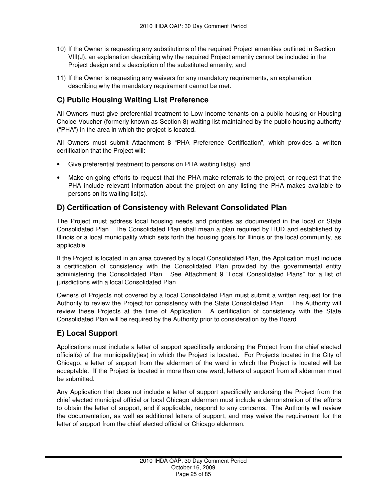- 10) If the Owner is requesting any substitutions of the required Project amenities outlined in Section VIII(J), an explanation describing why the required Project amenity cannot be included in the Project design and a description of the substituted amenity; and
- 11) If the Owner is requesting any waivers for any mandatory requirements, an explanation describing why the mandatory requirement cannot be met.

## **C) Public Housing Waiting List Preference**

All Owners must give preferential treatment to Low Income tenants on a public housing or Housing Choice Voucher (formerly known as Section 8) waiting list maintained by the public housing authority ("PHA") in the area in which the project is located.

All Owners must submit Attachment 8 "PHA Preference Certification", which provides a written certification that the Project will:

- Give preferential treatment to persons on PHA waiting list(s), and
- Make on-going efforts to request that the PHA make referrals to the project, or request that the PHA include relevant information about the project on any listing the PHA makes available to persons on its waiting list(s).

## **D) Certification of Consistency with Relevant Consolidated Plan**

The Project must address local housing needs and priorities as documented in the local or State Consolidated Plan. The Consolidated Plan shall mean a plan required by HUD and established by Illinois or a local municipality which sets forth the housing goals for Illinois or the local community, as applicable.

If the Project is located in an area covered by a local Consolidated Plan, the Application must include a certification of consistency with the Consolidated Plan provided by the governmental entity administering the Consolidated Plan. See Attachment 9 "Local Consolidated Plans" for a list of jurisdictions with a local Consolidated Plan.

Owners of Projects not covered by a local Consolidated Plan must submit a written request for the Authority to review the Project for consistency with the State Consolidated Plan. The Authority will review these Projects at the time of Application. A certification of consistency with the State Consolidated Plan will be required by the Authority prior to consideration by the Board.

## **E) Local Support**

Applications must include a letter of support specifically endorsing the Project from the chief elected official(s) of the municipality(ies) in which the Project is located. For Projects located in the City of Chicago, a letter of support from the alderman of the ward in which the Project is located will be acceptable. If the Project is located in more than one ward, letters of support from all aldermen must be submitted.

Any Application that does not include a letter of support specifically endorsing the Project from the chief elected municipal official or local Chicago alderman must include a demonstration of the efforts to obtain the letter of support, and if applicable, respond to any concerns. The Authority will review the documentation, as well as additional letters of support, and may waive the requirement for the letter of support from the chief elected official or Chicago alderman.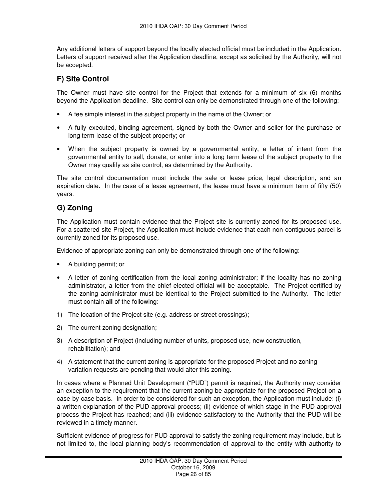Any additional letters of support beyond the locally elected official must be included in the Application. Letters of support received after the Application deadline, except as solicited by the Authority, will not be accepted.

## **F) Site Control**

The Owner must have site control for the Project that extends for a minimum of six (6) months beyond the Application deadline. Site control can only be demonstrated through one of the following:

- A fee simple interest in the subject property in the name of the Owner; or
- A fully executed, binding agreement, signed by both the Owner and seller for the purchase or long term lease of the subject property; or
- When the subject property is owned by a governmental entity, a letter of intent from the governmental entity to sell, donate, or enter into a long term lease of the subject property to the Owner may qualify as site control, as determined by the Authority.

The site control documentation must include the sale or lease price, legal description, and an expiration date. In the case of a lease agreement, the lease must have a minimum term of fifty (50) years.

## **G) Zoning**

The Application must contain evidence that the Project site is currently zoned for its proposed use. For a scattered-site Project, the Application must include evidence that each non-contiguous parcel is currently zoned for its proposed use.

Evidence of appropriate zoning can only be demonstrated through one of the following:

- A building permit; or
- A letter of zoning certification from the local zoning administrator; if the locality has no zoning administrator, a letter from the chief elected official will be acceptable. The Project certified by the zoning administrator must be identical to the Project submitted to the Authority. The letter must contain **all** of the following:
- 1) The location of the Project site (e.g. address or street crossings);
- 2) The current zoning designation;
- 3) A description of Project (including number of units, proposed use, new construction, rehabilitation); and
- 4) A statement that the current zoning is appropriate for the proposed Project and no zoning variation requests are pending that would alter this zoning.

In cases where a Planned Unit Development ("PUD") permit is required, the Authority may consider an exception to the requirement that the current zoning be appropriate for the proposed Project on a case-by-case basis. In order to be considered for such an exception, the Application must include: (i) a written explanation of the PUD approval process; (ii) evidence of which stage in the PUD approval process the Project has reached; and (iii) evidence satisfactory to the Authority that the PUD will be reviewed in a timely manner.

Sufficient evidence of progress for PUD approval to satisfy the zoning requirement may include, but is not limited to, the local planning body's recommendation of approval to the entity with authority to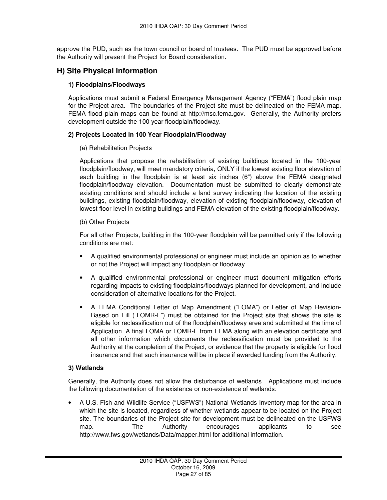approve the PUD, such as the town council or board of trustees. The PUD must be approved before the Authority will present the Project for Board consideration.

## **H) Site Physical Information**

#### **1) Floodplains/Floodways**

Applications must submit a Federal Emergency Management Agency ("FEMA") flood plain map for the Project area. The boundaries of the Project site must be delineated on the FEMA map. FEMA flood plain maps can be found at http://msc.fema.gov. Generally, the Authority prefers development outside the 100 year floodplain/floodway.

#### **2) Projects Located in 100 Year Floodplain/Floodway**

#### (a) Rehabilitation Projects

Applications that propose the rehabilitation of existing buildings located in the 100-year floodplain/floodway, will meet mandatory criteria, ONLY if the lowest existing floor elevation of each building in the floodplain is at least six inches (6") above the FEMA designated floodplain/floodway elevation. Documentation must be submitted to clearly demonstrate existing conditions and should include a land survey indicating the location of the existing buildings, existing floodplain/floodway, elevation of existing floodplain/floodway, elevation of lowest floor level in existing buildings and FEMA elevation of the existing floodplain/floodway.

#### (b) Other Projects

For all other Projects, building in the 100-year floodplain will be permitted only if the following conditions are met:

- A qualified environmental professional or engineer must include an opinion as to whether or not the Project will impact any floodplain or floodway.
- A qualified environmental professional or engineer must document mitigation efforts regarding impacts to existing floodplains/floodways planned for development, and include consideration of alternative locations for the Project.
- A FEMA Conditional Letter of Map Amendment ("LOMA") or Letter of Map Revision-Based on Fill ("LOMR-F") must be obtained for the Project site that shows the site is eligible for reclassification out of the floodplain/floodway area and submitted at the time of Application. A final LOMA or LOMR-F from FEMA along with an elevation certificate and all other information which documents the reclassification must be provided to the Authority at the completion of the Project, or evidence that the property is eligible for flood insurance and that such insurance will be in place if awarded funding from the Authority.

#### **3) Wetlands**

Generally, the Authority does not allow the disturbance of wetlands. Applications must include the following documentation of the existence or non-existence of wetlands:

• A U.S. Fish and Wildlife Service ("USFWS") National Wetlands Inventory map for the area in which the site is located, regardless of whether wetlands appear to be located on the Project site. The boundaries of the Project site for development must be delineated on the USFWS map. The Authority encourages applicants to see http://www.fws.gov/wetlands/Data/mapper.html for additional information.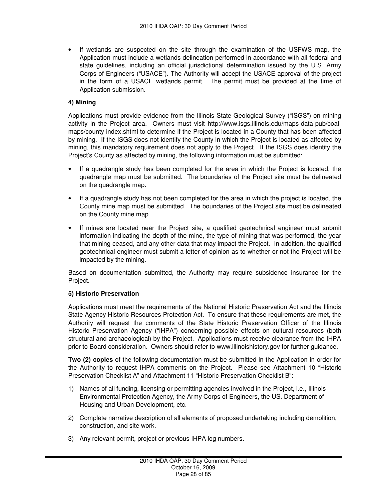• If wetlands are suspected on the site through the examination of the USFWS map, the Application must include a wetlands delineation performed in accordance with all federal and state guidelines, including an official jurisdictional determination issued by the U.S. Army Corps of Engineers ("USACE"). The Authority will accept the USACE approval of the project in the form of a USACE wetlands permit. The permit must be provided at the time of Application submission.

#### **4) Mining**

Applications must provide evidence from the Illinois State Geological Survey ("ISGS") on mining activity in the Project area. Owners must visit http://www.isgs.illinois.edu/maps-data-pub/coalmaps/county-index.shtml to determine if the Project is located in a County that has been affected by mining. If the ISGS does not identify the County in which the Project is located as affected by mining, this mandatory requirement does not apply to the Project. If the ISGS does identify the Project's County as affected by mining, the following information must be submitted:

- If a quadrangle study has been completed for the area in which the Project is located, the quadrangle map must be submitted. The boundaries of the Project site must be delineated on the quadrangle map.
- If a quadrangle study has not been completed for the area in which the project is located, the County mine map must be submitted. The boundaries of the Project site must be delineated on the County mine map.
- If mines are located near the Project site, a qualified geotechnical engineer must submit information indicating the depth of the mine, the type of mining that was performed, the year that mining ceased, and any other data that may impact the Project. In addition, the qualified geotechnical engineer must submit a letter of opinion as to whether or not the Project will be impacted by the mining.

Based on documentation submitted, the Authority may require subsidence insurance for the Project.

#### **5) Historic Preservation**

Applications must meet the requirements of the National Historic Preservation Act and the Illinois State Agency Historic Resources Protection Act. To ensure that these requirements are met, the Authority will request the comments of the State Historic Preservation Officer of the Illinois Historic Preservation Agency ("IHPA") concerning possible effects on cultural resources (both structural and archaeological) by the Project. Applications must receive clearance from the IHPA prior to Board consideration. Owners should refer to www.illinoishistory.gov for further guidance.

**Two (2) copies** of the following documentation must be submitted in the Application in order for the Authority to request IHPA comments on the Project. Please see Attachment 10 "Historic Preservation Checklist A" and Attachment 11 "Historic Preservation Checklist B":

- 1) Names of all funding, licensing or permitting agencies involved in the Project, i.e., Illinois Environmental Protection Agency, the Army Corps of Engineers, the US. Department of Housing and Urban Development, etc.
- 2) Complete narrative description of all elements of proposed undertaking including demolition, construction, and site work.
- 3) Any relevant permit, project or previous IHPA log numbers.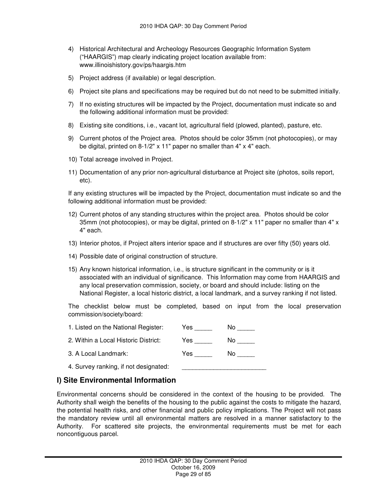- 4) Historical Architectural and Archeology Resources Geographic Information System ("HAARGIS") map clearly indicating project location available from: www.illinoishistory.gov/ps/haargis.htm
- 5) Project address (if available) or legal description.
- 6) Project site plans and specifications may be required but do not need to be submitted initially.
- 7) If no existing structures will be impacted by the Project, documentation must indicate so and the following additional information must be provided:
- 8) Existing site conditions, i.e., vacant lot, agricultural field (plowed, planted), pasture, etc.
- 9) Current photos of the Project area. Photos should be color 35mm (not photocopies), or may be digital, printed on 8-1/2" x 11" paper no smaller than 4" x 4" each.
- 10) Total acreage involved in Project.
- 11) Documentation of any prior non-agricultural disturbance at Project site (photos, soils report, etc).

If any existing structures will be impacted by the Project, documentation must indicate so and the following additional information must be provided:

- 12) Current photos of any standing structures within the project area. Photos should be color 35mm (not photocopies), or may be digital, printed on 8-1/2" x 11" paper no smaller than 4" x 4" each.
- 13) Interior photos, if Project alters interior space and if structures are over fifty (50) years old.
- 14) Possible date of original construction of structure.
- 15) Any known historical information, i.e., is structure significant in the community or is it associated with an individual of significance. This Information may come from HAARGIS and any local preservation commission, society, or board and should include: listing on the National Register, a local historic district, a local landmark, and a survey ranking if not listed.

The checklist below must be completed, based on input from the local preservation commission/society/board:

| 1. Listed on the National Register:   | Yes   | N٥  |
|---------------------------------------|-------|-----|
| 2. Within a Local Historic District:  | Yes l | No. |
| 3. A Local Landmark:                  | Yes   | N٥  |
| 4. Survey ranking, if not designated: |       |     |

## **I) Site Environmental Information**

Environmental concerns should be considered in the context of the housing to be provided. The Authority shall weigh the benefits of the housing to the public against the costs to mitigate the hazard, the potential health risks, and other financial and public policy implications. The Project will not pass the mandatory review until all environmental matters are resolved in a manner satisfactory to the Authority. For scattered site projects, the environmental requirements must be met for each noncontiguous parcel.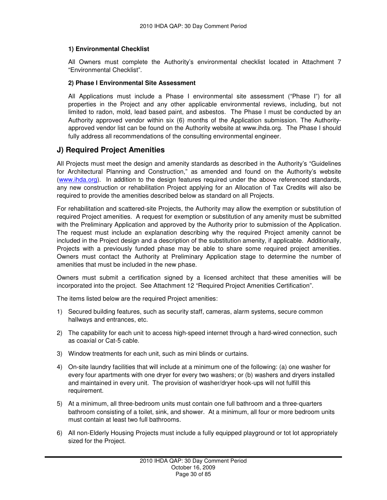#### **1) Environmental Checklist**

All Owners must complete the Authority's environmental checklist located in Attachment 7 "Environmental Checklist".

#### **2) Phase I Environmental Site Assessment**

All Applications must include a Phase I environmental site assessment ("Phase I") for all properties in the Project and any other applicable environmental reviews, including, but not limited to radon, mold, lead based paint, and asbestos. The Phase I must be conducted by an Authority approved vendor within six (6) months of the Application submission. The Authorityapproved vendor list can be found on the Authority website at www.ihda.org. The Phase I should fully address all recommendations of the consulting environmental engineer.

#### **J) Required Project Amenities**

All Projects must meet the design and amenity standards as described in the Authority's "Guidelines for Architectural Planning and Construction," as amended and found on the Authority's website (www.ihda.org). In addition to the design features required under the above referenced standards, any new construction or rehabilitation Project applying for an Allocation of Tax Credits will also be required to provide the amenities described below as standard on all Projects.

For rehabilitation and scattered-site Projects, the Authority may allow the exemption or substitution of required Project amenities. A request for exemption or substitution of any amenity must be submitted with the Preliminary Application and approved by the Authority prior to submission of the Application. The request must include an explanation describing why the required Project amenity cannot be included in the Project design and a description of the substitution amenity, if applicable. Additionally, Projects with a previously funded phase may be able to share some required project amenities. Owners must contact the Authority at Preliminary Application stage to determine the number of amenities that must be included in the new phase.

Owners must submit a certification signed by a licensed architect that these amenities will be incorporated into the project. See Attachment 12 "Required Project Amenities Certification".

The items listed below are the required Project amenities:

- 1) Secured building features, such as security staff, cameras, alarm systems, secure common hallways and entrances, etc.
- 2) The capability for each unit to access high-speed internet through a hard-wired connection, such as coaxial or Cat-5 cable.
- 3) Window treatments for each unit, such as mini blinds or curtains.
- 4) On-site laundry facilities that will include at a minimum one of the following: (a) one washer for every four apartments with one dryer for every two washers; or (b) washers and dryers installed and maintained in every unit. The provision of washer/dryer hook-ups will not fulfill this requirement.
- 5) At a minimum, all three-bedroom units must contain one full bathroom and a three-quarters bathroom consisting of a toilet, sink, and shower. At a minimum, all four or more bedroom units must contain at least two full bathrooms.
- 6) All non-Elderly Housing Projects must include a fully equipped playground or tot lot appropriately sized for the Project.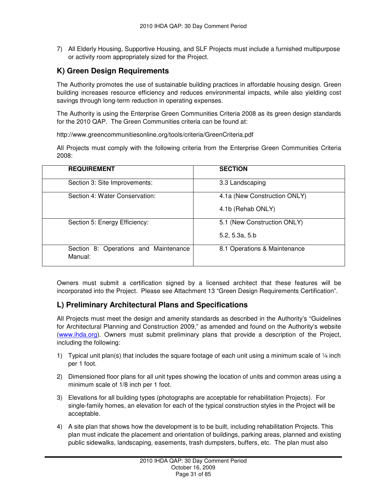7) All Elderly Housing, Supportive Housing, and SLF Projects must include a furnished multipurpose or activity room appropriately sized for the Project.

## **K) Green Design Requirements**

The Authority promotes the use of sustainable building practices in affordable housing design. Green building increases resource efficiency and reduces environmental impacts, while also yielding cost savings through long-term reduction in operating expenses.

The Authority is using the Enterprise Green Communities Criteria 2008 as its green design standards for the 2010 QAP. The Green Communities criteria can be found at:

http://www.greencommunitiesonline.org/tools/criteria/GreenCriteria.pdf

All Projects must comply with the following criteria from the Enterprise Green Communities Criteria 2008:

| <b>REQUIREMENT</b>                               | <b>SECTION</b>               |
|--------------------------------------------------|------------------------------|
| Section 3: Site Improvements:                    | 3.3 Landscaping              |
| Section 4: Water Conservation:                   | 4.1a (New Construction ONLY) |
|                                                  | 4.1b (Rehab ONLY)            |
| Section 5: Energy Efficiency:                    | 5.1 (New Construction ONLY)  |
|                                                  | 5.2, 5.3a, 5.b               |
| Section 8: Operations and Maintenance<br>Manual: | 8.1 Operations & Maintenance |

Owners must submit a certification signed by a licensed architect that these features will be incorporated into the Project. Please see Attachment 13 "Green Design Requirements Certification".

## **L) Preliminary Architectural Plans and Specifications**

All Projects must meet the design and amenity standards as described in the Authority's "Guidelines for Architectural Planning and Construction 2009," as amended and found on the Authority's website (www.ihda.org). Owners must submit preliminary plans that provide a description of the Project, including the following:

- 1) Typical unit plan(s) that includes the square footage of each unit using a minimum scale of  $\frac{1}{4}$  inch per 1 foot.
- 2) Dimensioned floor plans for all unit types showing the location of units and common areas using a minimum scale of 1/8 inch per 1 foot.
- 3) Elevations for all building types (photographs are acceptable for rehabilitation Projects). For single-family homes, an elevation for each of the typical construction styles in the Project will be acceptable.
- 4) A site plan that shows how the development is to be built, including rehabilitation Projects. This plan must indicate the placement and orientation of buildings, parking areas, planned and existing public sidewalks, landscaping, easements, trash dumpsters, buffers, etc. The plan must also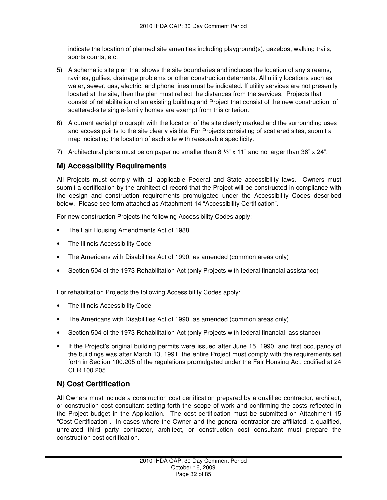indicate the location of planned site amenities including playground(s), gazebos, walking trails, sports courts, etc.

- 5) A schematic site plan that shows the site boundaries and includes the location of any streams, ravines, gullies, drainage problems or other construction deterrents. All utility locations such as water, sewer, gas, electric, and phone lines must be indicated. If utility services are not presently located at the site, then the plan must reflect the distances from the services. Projects that consist of rehabilitation of an existing building and Project that consist of the new construction of scattered-site single-family homes are exempt from this criterion.
- 6) A current aerial photograph with the location of the site clearly marked and the surrounding uses and access points to the site clearly visible. For Projects consisting of scattered sites, submit a map indicating the location of each site with reasonable specificity.
- 7) Architectural plans must be on paper no smaller than 8  $\frac{1}{2}$ " x 11" and no larger than 36" x 24".

## **M) Accessibility Requirements**

All Projects must comply with all applicable Federal and State accessibility laws. Owners must submit a certification by the architect of record that the Project will be constructed in compliance with the design and construction requirements promulgated under the Accessibility Codes described below. Please see form attached as Attachment 14 "Accessibility Certification".

For new construction Projects the following Accessibility Codes apply:

- The Fair Housing Amendments Act of 1988
- The Illinois Accessibility Code
- The Americans with Disabilities Act of 1990, as amended (common areas only)
- Section 504 of the 1973 Rehabilitation Act (only Projects with federal financial assistance)

For rehabilitation Projects the following Accessibility Codes apply:

- The Illinois Accessibility Code
- The Americans with Disabilities Act of 1990, as amended (common areas only)
- Section 504 of the 1973 Rehabilitation Act (only Projects with federal financial assistance)
- If the Project's original building permits were issued after June 15, 1990, and first occupancy of the buildings was after March 13, 1991, the entire Project must comply with the requirements set forth in Section 100.205 of the regulations promulgated under the Fair Housing Act, codified at 24 CFR 100.205.

## **N) Cost Certification**

All Owners must include a construction cost certification prepared by a qualified contractor, architect, or construction cost consultant setting forth the scope of work and confirming the costs reflected in the Project budget in the Application. The cost certification must be submitted on Attachment 15 "Cost Certification". In cases where the Owner and the general contractor are affiliated, a qualified, unrelated third party contractor, architect, or construction cost consultant must prepare the construction cost certification.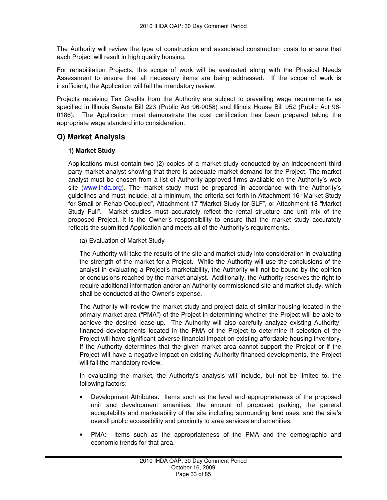The Authority will review the type of construction and associated construction costs to ensure that each Project will result in high quality housing.

For rehabilitation Projects, this scope of work will be evaluated along with the Physical Needs Assessment to ensure that all necessary items are being addressed. If the scope of work is insufficient, the Application will fail the mandatory review.

Projects receiving Tax Credits from the Authority are subject to prevailing wage requirements as specified in Illinois Senate Bill 223 (Public Act 96-0058) and Illinois House Bill 952 (Public Act 96- 0186). The Application must demonstrate the cost certification has been prepared taking the appropriate wage standard into consideration.

## **O) Market Analysis**

#### **1) Market Study**

Applications must contain two (2) copies of a market study conducted by an independent third party market analyst showing that there is adequate market demand for the Project. The market analyst must be chosen from a list of Authority-approved firms available on the Authority's web site (www.ihda.org). The market study must be prepared in accordance with the Authority's guidelines and must include, at a minimum, the criteria set forth in Attachment 16 "Market Study for Small or Rehab Occupied", Attachment 17 "Market Study for SLF", or Attachment 18 "Market Study Full". Market studies must accurately reflect the rental structure and unit mix of the proposed Project. It is the Owner's responsibility to ensure that the market study accurately reflects the submitted Application and meets all of the Authority's requirements.

#### (a) Evaluation of Market Study

The Authority will take the results of the site and market study into consideration in evaluating the strength of the market for a Project. While the Authority will use the conclusions of the analyst in evaluating a Project's marketability, the Authority will not be bound by the opinion or conclusions reached by the market analyst. Additionally, the Authority reserves the right to require additional information and/or an Authority-commissioned site and market study, which shall be conducted at the Owner's expense.

The Authority will review the market study and project data of similar housing located in the primary market area ("PMA") of the Project in determining whether the Project will be able to achieve the desired lease-up. The Authority will also carefully analyze existing Authorityfinanced developments located in the PMA of the Project to determine if selection of the Project will have significant adverse financial impact on existing affordable housing inventory. If the Authority determines that the given market area cannot support the Project or if the Project will have a negative impact on existing Authority-financed developments, the Project will fail the mandatory review.

In evaluating the market, the Authority's analysis will include, but not be limited to, the following factors:

- Development Attributes: Items such as the level and appropriateness of the proposed unit and development amenities, the amount of proposed parking, the general acceptability and marketability of the site including surrounding land uses, and the site's overall public accessibility and proximity to area services and amenities.
- PMA: Items such as the appropriateness of the PMA and the demographic and economic trends for that area.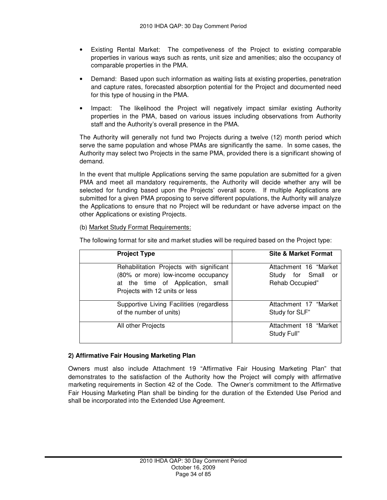- Existing Rental Market: The competiveness of the Project to existing comparable properties in various ways such as rents, unit size and amenities; also the occupancy of comparable properties in the PMA.
- Demand: Based upon such information as waiting lists at existing properties, penetration and capture rates, forecasted absorption potential for the Project and documented need for this type of housing in the PMA.
- Impact: The likelihood the Project will negatively impact similar existing Authority properties in the PMA, based on various issues including observations from Authority staff and the Authority's overall presence in the PMA.

The Authority will generally not fund two Projects during a twelve (12) month period which serve the same population and whose PMAs are significantly the same. In some cases, the Authority may select two Projects in the same PMA, provided there is a significant showing of demand.

In the event that multiple Applications serving the same population are submitted for a given PMA and meet all mandatory requirements, the Authority will decide whether any will be selected for funding based upon the Projects' overall score. If multiple Applications are submitted for a given PMA proposing to serve different populations, the Authority will analyze the Applications to ensure that no Project will be redundant or have adverse impact on the other Applications or existing Projects.

#### (b) Market Study Format Requirements:

The following format for site and market studies will be required based on the Project type:

| <b>Project Type</b>                                                                                                                                   | <b>Site &amp; Market Format</b>                                      |
|-------------------------------------------------------------------------------------------------------------------------------------------------------|----------------------------------------------------------------------|
| Rehabilitation Projects with significant<br>(80% or more) low-income occupancy<br>at the time of Application, small<br>Projects with 12 units or less | Attachment 16 "Market<br>for Small<br>Study<br>or<br>Rehab Occupied" |
| Supportive Living Facilities (regardless<br>of the number of units)                                                                                   | Attachment 17 "Market<br>Study for SLF"                              |
| All other Projects                                                                                                                                    | Attachment 18 "Market<br>Study Full"                                 |

#### **2) Affirmative Fair Housing Marketing Plan**

Owners must also include Attachment 19 "Affirmative Fair Housing Marketing Plan" that demonstrates to the satisfaction of the Authority how the Project will comply with affirmative marketing requirements in Section 42 of the Code. The Owner's commitment to the Affirmative Fair Housing Marketing Plan shall be binding for the duration of the Extended Use Period and shall be incorporated into the Extended Use Agreement.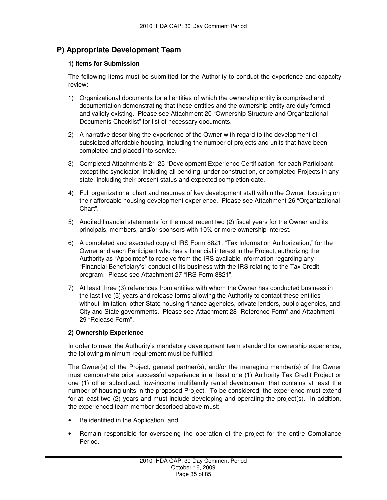## **P) Appropriate Development Team**

#### **1) Items for Submission**

The following items must be submitted for the Authority to conduct the experience and capacity review:

- 1) Organizational documents for all entities of which the ownership entity is comprised and documentation demonstrating that these entities and the ownership entity are duly formed and validly existing. Please see Attachment 20 "Ownership Structure and Organizational Documents Checklist" for list of necessary documents.
- 2) A narrative describing the experience of the Owner with regard to the development of subsidized affordable housing, including the number of projects and units that have been completed and placed into service.
- 3) Completed Attachments 21-25 "Development Experience Certification" for each Participant except the syndicator, including all pending, under construction, or completed Projects in any state, including their present status and expected completion date.
- 4) Full organizational chart and resumes of key development staff within the Owner, focusing on their affordable housing development experience. Please see Attachment 26 "Organizational Chart".
- 5) Audited financial statements for the most recent two (2) fiscal years for the Owner and its principals, members, and/or sponsors with 10% or more ownership interest.
- 6) A completed and executed copy of IRS Form 8821, "Tax Information Authorization," for the Owner and each Participant who has a financial interest in the Project, authorizing the Authority as "Appointee" to receive from the IRS available information regarding any "Financial Beneficiary's" conduct of its business with the IRS relating to the Tax Credit program. Please see Attachment 27 "IRS Form 8821".
- 7) At least three (3) references from entities with whom the Owner has conducted business in the last five (5) years and release forms allowing the Authority to contact these entities without limitation, other State housing finance agencies, private lenders, public agencies, and City and State governments. Please see Attachment 28 "Reference Form" and Attachment 29 "Release Form".

#### **2) Ownership Experience**

In order to meet the Authority's mandatory development team standard for ownership experience, the following minimum requirement must be fulfilled:

The Owner(s) of the Project, general partner(s), and/or the managing member(s) of the Owner must demonstrate prior successful experience in at least one (1) Authority Tax Credit Project or one (1) other subsidized, low-income multifamily rental development that contains at least the number of housing units in the proposed Project. To be considered, the experience must extend for at least two (2) years and must include developing and operating the project(s). In addition, the experienced team member described above must:

- Be identified in the Application, and
- Remain responsible for overseeing the operation of the project for the entire Compliance Period.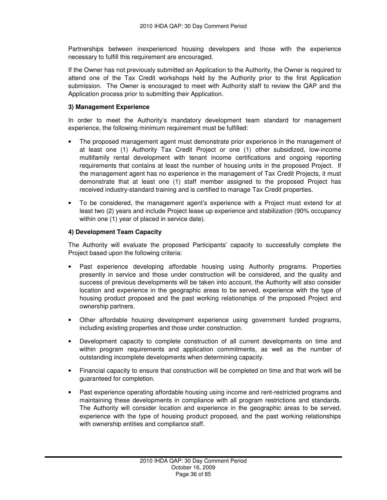Partnerships between inexperienced housing developers and those with the experience necessary to fulfill this requirement are encouraged.

If the Owner has not previously submitted an Application to the Authority, the Owner is required to attend one of the Tax Credit workshops held by the Authority prior to the first Application submission. The Owner is encouraged to meet with Authority staff to review the QAP and the Application process prior to submitting their Application.

#### **3) Management Experience**

In order to meet the Authority's mandatory development team standard for management experience, the following minimum requirement must be fulfilled:

- The proposed management agent must demonstrate prior experience in the management of at least one (1) Authority Tax Credit Project or one (1) other subsidized, low-income multifamily rental development with tenant income certifications and ongoing reporting requirements that contains at least the number of housing units in the proposed Project. If the management agent has no experience in the management of Tax Credit Projects, it must demonstrate that at least one (1) staff member assigned to the proposed Project has received industry-standard training and is certified to manage Tax Credit properties.
- To be considered, the management agent's experience with a Project must extend for at least two (2) years and include Project lease up experience and stabilization (90% occupancy within one (1) year of placed in service date).

#### **4) Development Team Capacity**

The Authority will evaluate the proposed Participants' capacity to successfully complete the Project based upon the following criteria:

- Past experience developing affordable housing using Authority programs. Properties presently in service and those under construction will be considered, and the quality and success of previous developments will be taken into account, the Authority will also consider location and experience in the geographic areas to be served, experience with the type of housing product proposed and the past working relationships of the proposed Project and ownership partners.
- Other affordable housing development experience using government funded programs, including existing properties and those under construction.
- Development capacity to complete construction of all current developments on time and within program requirements and application commitments, as well as the number of outstanding incomplete developments when determining capacity.
- Financial capacity to ensure that construction will be completed on time and that work will be guaranteed for completion.
- Past experience operating affordable housing using income and rent-restricted programs and maintaining these developments in compliance with all program restrictions and standards. The Authority will consider location and experience in the geographic areas to be served, experience with the type of housing product proposed, and the past working relationships with ownership entities and compliance staff.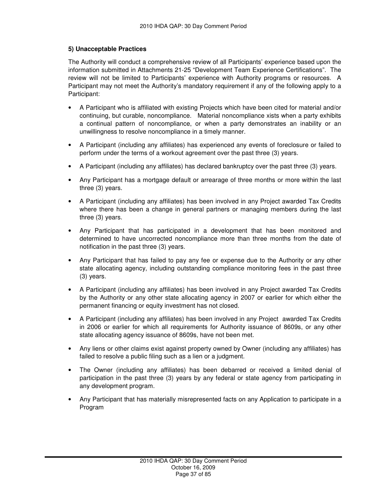## **5) Unacceptable Practices**

The Authority will conduct a comprehensive review of all Participants' experience based upon the information submitted in Attachments 21-25 "Development Team Experience Certifications". The review will not be limited to Participants' experience with Authority programs or resources. A Participant may not meet the Authority's mandatory requirement if any of the following apply to a Participant:

- A Participant who is affiliated with existing Projects which have been cited for material and/or continuing, but curable, noncompliance. Material noncompliance xists when a party exhibits a continual pattern of noncompliance, or when a party demonstrates an inability or an unwillingness to resolve noncompliance in a timely manner.
- A Participant (including any affiliates) has experienced any events of foreclosure or failed to perform under the terms of a workout agreement over the past three (3) years.
- A Participant (including any affiliates) has declared bankruptcy over the past three (3) years.
- Any Participant has a mortgage default or arrearage of three months or more within the last three (3) years.
- A Participant (including any affiliates) has been involved in any Project awarded Tax Credits where there has been a change in general partners or managing members during the last three (3) years.
- Any Participant that has participated in a development that has been monitored and determined to have uncorrected noncompliance more than three months from the date of notification in the past three (3) years.
- Any Participant that has failed to pay any fee or expense due to the Authority or any other state allocating agency, including outstanding compliance monitoring fees in the past three (3) years.
- A Participant (including any affiliates) has been involved in any Project awarded Tax Credits by the Authority or any other state allocating agency in 2007 or earlier for which either the permanent financing or equity investment has not closed.
- A Participant (including any affiliates) has been involved in any Project awarded Tax Credits in 2006 or earlier for which all requirements for Authority issuance of 8609s, or any other state allocating agency issuance of 8609s, have not been met.
- Any liens or other claims exist against property owned by Owner (including any affiliates) has failed to resolve a public filing such as a lien or a judgment.
- The Owner (including any affiliates) has been debarred or received a limited denial of participation in the past three (3) years by any federal or state agency from participating in any development program.
- Any Participant that has materially misrepresented facts on any Application to participate in a Program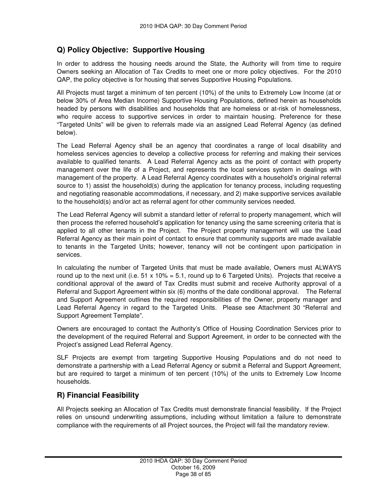## **Q) Policy Objective: Supportive Housing**

In order to address the housing needs around the State, the Authority will from time to require Owners seeking an Allocation of Tax Credits to meet one or more policy objectives. For the 2010 QAP, the policy objective is for housing that serves Supportive Housing Populations.

All Projects must target a minimum of ten percent (10%) of the units to Extremely Low Income (at or below 30% of Area Median Income) Supportive Housing Populations, defined herein as households headed by persons with disabilities and households that are homeless or at-risk of homelessness, who require access to supportive services in order to maintain housing. Preference for these "Targeted Units" will be given to referrals made via an assigned Lead Referral Agency (as defined below).

The Lead Referral Agency shall be an agency that coordinates a range of local disability and homeless services agencies to develop a collective process for referring and making their services available to qualified tenants. A Lead Referral Agency acts as the point of contact with property management over the life of a Project, and represents the local services system in dealings with management of the property. A Lead Referral Agency coordinates with a household's original referral source to 1) assist the household(s) during the application for tenancy process, including requesting and negotiating reasonable accommodations, if necessary, and 2) make supportive services available to the household(s) and/or act as referral agent for other community services needed.

The Lead Referral Agency will submit a standard letter of referral to property management, which will then process the referred household's application for tenancy using the same screening criteria that is applied to all other tenants in the Project. The Project property management will use the Lead Referral Agency as their main point of contact to ensure that community supports are made available to tenants in the Targeted Units; however, tenancy will not be contingent upon participation in services.

In calculating the number of Targeted Units that must be made available, Owners must ALWAYS round up to the next unit (i.e.  $51 \times 10\% = 5.1$ , round up to 6 Targeted Units). Projects that receive a conditional approval of the award of Tax Credits must submit and receive Authority approval of a Referral and Support Agreement within six (6) months of the date conditional approval. The Referral and Support Agreement outlines the required responsibilities of the Owner, property manager and Lead Referral Agency in regard to the Targeted Units. Please see Attachment 30 "Referral and Support Agreement Template".

Owners are encouraged to contact the Authority's Office of Housing Coordination Services prior to the development of the required Referral and Support Agreement, in order to be connected with the Project's assigned Lead Referral Agency.

SLF Projects are exempt from targeting Supportive Housing Populations and do not need to demonstrate a partnership with a Lead Referral Agency or submit a Referral and Support Agreement, but are required to target a minimum of ten percent (10%) of the units to Extremely Low Income households.

## **R) Financial Feasibility**

All Projects seeking an Allocation of Tax Credits must demonstrate financial feasibility. If the Project relies on unsound underwriting assumptions, including without limitation a failure to demonstrate compliance with the requirements of all Project sources, the Project will fail the mandatory review.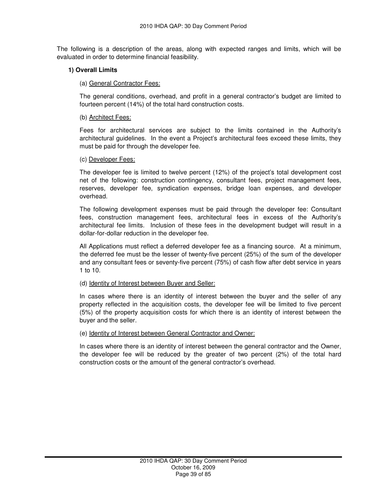The following is a description of the areas, along with expected ranges and limits, which will be evaluated in order to determine financial feasibility.

### **1) Overall Limits**

### (a) General Contractor Fees:

The general conditions, overhead, and profit in a general contractor's budget are limited to fourteen percent (14%) of the total hard construction costs.

### (b) Architect Fees:

Fees for architectural services are subject to the limits contained in the Authority's architectural guidelines. In the event a Project's architectural fees exceed these limits, they must be paid for through the developer fee.

#### (c) Developer Fees:

The developer fee is limited to twelve percent (12%) of the project's total development cost net of the following: construction contingency, consultant fees, project management fees, reserves, developer fee, syndication expenses, bridge loan expenses, and developer overhead.

The following development expenses must be paid through the developer fee: Consultant fees, construction management fees, architectural fees in excess of the Authority's architectural fee limits. Inclusion of these fees in the development budget will result in a dollar-for-dollar reduction in the developer fee.

All Applications must reflect a deferred developer fee as a financing source. At a minimum, the deferred fee must be the lesser of twenty-five percent (25%) of the sum of the developer and any consultant fees or seventy-five percent (75%) of cash flow after debt service in years 1 to 10.

#### (d) Identity of Interest between Buyer and Seller:

In cases where there is an identity of interest between the buyer and the seller of any property reflected in the acquisition costs, the developer fee will be limited to five percent (5%) of the property acquisition costs for which there is an identity of interest between the buyer and the seller.

#### (e) Identity of Interest between General Contractor and Owner:

In cases where there is an identity of interest between the general contractor and the Owner, the developer fee will be reduced by the greater of two percent (2%) of the total hard construction costs or the amount of the general contractor's overhead.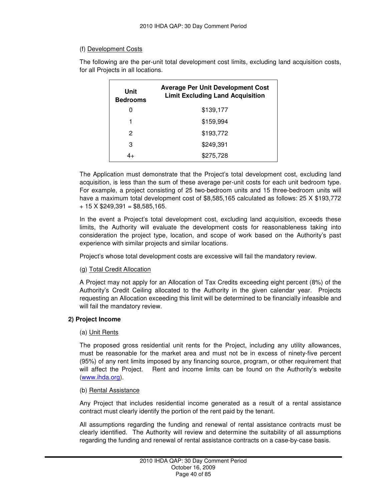## (f) Development Costs

The following are the per-unit total development cost limits, excluding land acquisition costs, for all Projects in all locations.

| Unit<br><b>Bedrooms</b> | <b>Average Per Unit Development Cost</b><br><b>Limit Excluding Land Acquisition</b> |
|-------------------------|-------------------------------------------------------------------------------------|
| O                       | \$139,177                                                                           |
| 1                       | \$159.994                                                                           |
| 2                       | \$193,772                                                                           |
| З                       | \$249.391                                                                           |
|                         | \$275,728                                                                           |

The Application must demonstrate that the Project's total development cost, excluding land acquisition, is less than the sum of these average per-unit costs for each unit bedroom type. For example, a project consisting of 25 two-bedroom units and 15 three-bedroom units will have a maximum total development cost of \$8,585,165 calculated as follows: 25 X \$193,772  $+ 15$  X \$249,391 = \$8,585,165.

In the event a Project's total development cost, excluding land acquisition, exceeds these limits, the Authority will evaluate the development costs for reasonableness taking into consideration the project type, location, and scope of work based on the Authority's past experience with similar projects and similar locations.

Project's whose total development costs are excessive will fail the mandatory review.

## (g) Total Credit Allocation

A Project may not apply for an Allocation of Tax Credits exceeding eight percent (8%) of the Authority's Credit Ceiling allocated to the Authority in the given calendar year. Projects requesting an Allocation exceeding this limit will be determined to be financially infeasible and will fail the mandatory review.

## **2) Project Income**

## (a) Unit Rents

The proposed gross residential unit rents for the Project, including any utility allowances, must be reasonable for the market area and must not be in excess of ninety-five percent (95%) of any rent limits imposed by any financing source, program, or other requirement that will affect the Project. Rent and income limits can be found on the Authority's website (www.ihda.org).

#### (b) Rental Assistance

Any Project that includes residential income generated as a result of a rental assistance contract must clearly identify the portion of the rent paid by the tenant.

All assumptions regarding the funding and renewal of rental assistance contracts must be clearly identified. The Authority will review and determine the suitability of all assumptions regarding the funding and renewal of rental assistance contracts on a case-by-case basis.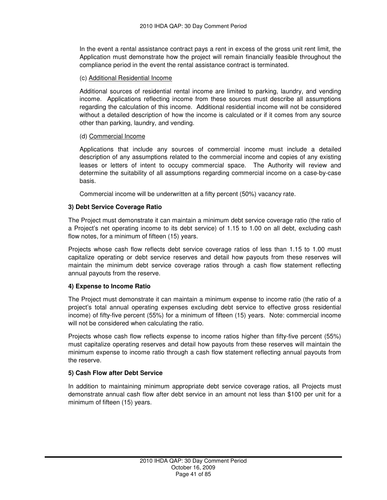In the event a rental assistance contract pays a rent in excess of the gross unit rent limit, the Application must demonstrate how the project will remain financially feasible throughout the compliance period in the event the rental assistance contract is terminated.

## (c) Additional Residential Income

Additional sources of residential rental income are limited to parking, laundry, and vending income. Applications reflecting income from these sources must describe all assumptions regarding the calculation of this income. Additional residential income will not be considered without a detailed description of how the income is calculated or if it comes from any source other than parking, laundry, and vending.

## (d) Commercial Income

Applications that include any sources of commercial income must include a detailed description of any assumptions related to the commercial income and copies of any existing leases or letters of intent to occupy commercial space. The Authority will review and determine the suitability of all assumptions regarding commercial income on a case-by-case basis.

Commercial income will be underwritten at a fifty percent (50%) vacancy rate.

## **3) Debt Service Coverage Ratio**

The Project must demonstrate it can maintain a minimum debt service coverage ratio (the ratio of a Project's net operating income to its debt service) of 1.15 to 1.00 on all debt, excluding cash flow notes, for a minimum of fifteen (15) years.

Projects whose cash flow reflects debt service coverage ratios of less than 1.15 to 1.00 must capitalize operating or debt service reserves and detail how payouts from these reserves will maintain the minimum debt service coverage ratios through a cash flow statement reflecting annual payouts from the reserve.

## **4) Expense to Income Ratio**

The Project must demonstrate it can maintain a minimum expense to income ratio (the ratio of a project's total annual operating expenses excluding debt service to effective gross residential income) of fifty-five percent (55%) for a minimum of fifteen (15) years. Note: commercial income will not be considered when calculating the ratio.

Projects whose cash flow reflects expense to income ratios higher than fifty-five percent (55%) must capitalize operating reserves and detail how payouts from these reserves will maintain the minimum expense to income ratio through a cash flow statement reflecting annual payouts from the reserve.

## **5) Cash Flow after Debt Service**

In addition to maintaining minimum appropriate debt service coverage ratios, all Projects must demonstrate annual cash flow after debt service in an amount not less than \$100 per unit for a minimum of fifteen (15) years.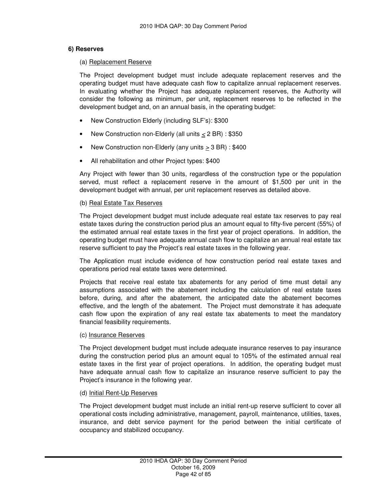### **6) Reserves**

#### (a) Replacement Reserve

The Project development budget must include adequate replacement reserves and the operating budget must have adequate cash flow to capitalize annual replacement reserves. In evaluating whether the Project has adequate replacement reserves, the Authority will consider the following as minimum, per unit, replacement reserves to be reflected in the development budget and, on an annual basis, in the operating budget:

- New Construction Elderly (including SLF's): \$300
- New Construction non-Elderly (all units  $\leq$  2 BR) : \$350
- New Construction non-Elderly (any units > 3 BR) : \$400
- All rehabilitation and other Project types: \$400

Any Project with fewer than 30 units, regardless of the construction type or the population served, must reflect a replacement reserve in the amount of \$1,500 per unit in the development budget with annual, per unit replacement reserves as detailed above.

### (b) Real Estate Tax Reserves

The Project development budget must include adequate real estate tax reserves to pay real estate taxes during the construction period plus an amount equal to fifty-five percent (55%) of the estimated annual real estate taxes in the first year of project operations. In addition, the operating budget must have adequate annual cash flow to capitalize an annual real estate tax reserve sufficient to pay the Project's real estate taxes in the following year.

The Application must include evidence of how construction period real estate taxes and operations period real estate taxes were determined.

Projects that receive real estate tax abatements for any period of time must detail any assumptions associated with the abatement including the calculation of real estate taxes before, during, and after the abatement, the anticipated date the abatement becomes effective, and the length of the abatement. The Project must demonstrate it has adequate cash flow upon the expiration of any real estate tax abatements to meet the mandatory financial feasibility requirements.

#### (c) Insurance Reserves

The Project development budget must include adequate insurance reserves to pay insurance during the construction period plus an amount equal to 105% of the estimated annual real estate taxes in the first year of project operations. In addition, the operating budget must have adequate annual cash flow to capitalize an insurance reserve sufficient to pay the Project's insurance in the following year.

#### (d) Initial Rent-Up Reserves

The Project development budget must include an initial rent-up reserve sufficient to cover all operational costs including administrative, management, payroll, maintenance, utilities, taxes, insurance, and debt service payment for the period between the initial certificate of occupancy and stabilized occupancy.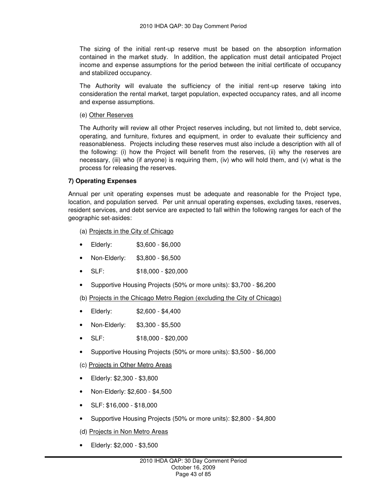The sizing of the initial rent-up reserve must be based on the absorption information contained in the market study. In addition, the application must detail anticipated Project income and expense assumptions for the period between the initial certificate of occupancy and stabilized occupancy.

The Authority will evaluate the sufficiency of the initial rent-up reserve taking into consideration the rental market, target population, expected occupancy rates, and all income and expense assumptions.

### (e) Other Reserves

The Authority will review all other Project reserves including, but not limited to, debt service, operating, and furniture, fixtures and equipment, in order to evaluate their sufficiency and reasonableness. Projects including these reserves must also include a description with all of the following: (i) how the Project will benefit from the reserves, (ii) why the reserves are necessary, (iii) who (if anyone) is requiring them, (iv) who will hold them, and (v) what is the process for releasing the reserves.

## **7) Operating Expenses**

Annual per unit operating expenses must be adequate and reasonable for the Project type, location, and population served. Per unit annual operating expenses, excluding taxes, reserves, resident services, and debt service are expected to fall within the following ranges for each of the geographic set-asides:

(a) Projects in the City of Chicago

- Elderly: \$3,600 \$6,000
- Non-Elderly: \$3,800 \$6,500
- SLF: \$18,000 \$20,000
- Supportive Housing Projects (50% or more units): \$3,700 \$6,200

(b) Projects in the Chicago Metro Region (excluding the City of Chicago)

- Elderly: \$2,600 \$4,400
- Non-Elderly: \$3,300 \$5,500
- SLF: \$18,000 \$20,000
- Supportive Housing Projects (50% or more units): \$3,500 \$6,000
- (c) Projects in Other Metro Areas
- Elderly: \$2,300 \$3,800
- Non-Elderly: \$2,600 \$4,500
- SLF: \$16,000 \$18,000
- Supportive Housing Projects (50% or more units): \$2,800 \$4,800
- (d) Projects in Non Metro Areas
- Elderly: \$2,000 \$3,500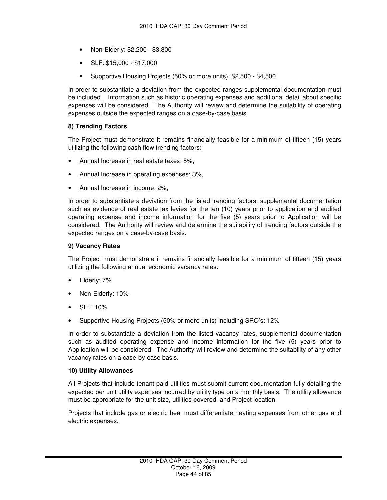- Non-Elderly: \$2,200 \$3,800
- SLF: \$15,000 \$17,000
- Supportive Housing Projects (50% or more units): \$2,500 \$4,500

In order to substantiate a deviation from the expected ranges supplemental documentation must be included. Information such as historic operating expenses and additional detail about specific expenses will be considered. The Authority will review and determine the suitability of operating expenses outside the expected ranges on a case-by-case basis.

## **8) Trending Factors**

The Project must demonstrate it remains financially feasible for a minimum of fifteen (15) years utilizing the following cash flow trending factors:

- Annual Increase in real estate taxes: 5%,
- Annual Increase in operating expenses: 3%,
- Annual Increase in income: 2%,

In order to substantiate a deviation from the listed trending factors, supplemental documentation such as evidence of real estate tax levies for the ten (10) years prior to application and audited operating expense and income information for the five (5) years prior to Application will be considered. The Authority will review and determine the suitability of trending factors outside the expected ranges on a case-by-case basis.

### **9) Vacancy Rates**

The Project must demonstrate it remains financially feasible for a minimum of fifteen (15) years utilizing the following annual economic vacancy rates:

- Elderly: 7%
- Non-Elderly: 10%
- SLF: 10%
- Supportive Housing Projects (50% or more units) including SRO's: 12%

In order to substantiate a deviation from the listed vacancy rates, supplemental documentation such as audited operating expense and income information for the five (5) years prior to Application will be considered. The Authority will review and determine the suitability of any other vacancy rates on a case-by-case basis.

#### **10) Utility Allowances**

All Projects that include tenant paid utilities must submit current documentation fully detailing the expected per unit utility expenses incurred by utility type on a monthly basis. The utility allowance must be appropriate for the unit size, utilities covered, and Project location.

Projects that include gas or electric heat must differentiate heating expenses from other gas and electric expenses.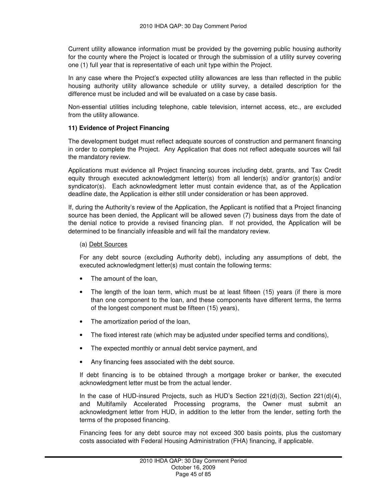Current utility allowance information must be provided by the governing public housing authority for the county where the Project is located or through the submission of a utility survey covering one (1) full year that is representative of each unit type within the Project.

In any case where the Project's expected utility allowances are less than reflected in the public housing authority utility allowance schedule or utility survey, a detailed description for the difference must be included and will be evaluated on a case by case basis.

Non-essential utilities including telephone, cable television, internet access, etc., are excluded from the utility allowance.

### **11) Evidence of Project Financing**

The development budget must reflect adequate sources of construction and permanent financing in order to complete the Project. Any Application that does not reflect adequate sources will fail the mandatory review.

Applications must evidence all Project financing sources including debt, grants, and Tax Credit equity through executed acknowledgment letter(s) from all lender(s) and/or grantor(s) and/or syndicator(s). Each acknowledgment letter must contain evidence that, as of the Application deadline date, the Application is either still under consideration or has been approved.

If, during the Authority's review of the Application, the Applicant is notified that a Project financing source has been denied, the Applicant will be allowed seven (7) business days from the date of the denial notice to provide a revised financing plan. If not provided, the Application will be determined to be financially infeasible and will fail the mandatory review.

### (a) Debt Sources

For any debt source (excluding Authority debt), including any assumptions of debt, the executed acknowledgment letter(s) must contain the following terms:

- The amount of the loan.
- The length of the loan term, which must be at least fifteen (15) years (if there is more than one component to the loan, and these components have different terms, the terms of the longest component must be fifteen (15) years),
- The amortization period of the loan,
- The fixed interest rate (which may be adjusted under specified terms and conditions),
- The expected monthly or annual debt service payment, and
- Any financing fees associated with the debt source.

If debt financing is to be obtained through a mortgage broker or banker, the executed acknowledgment letter must be from the actual lender.

In the case of HUD-insured Projects, such as HUD's Section 221(d)(3), Section 221(d)(4), and Multifamily Accelerated Processing programs, the Owner must submit an acknowledgment letter from HUD, in addition to the letter from the lender, setting forth the terms of the proposed financing.

Financing fees for any debt source may not exceed 300 basis points, plus the customary costs associated with Federal Housing Administration (FHA) financing, if applicable.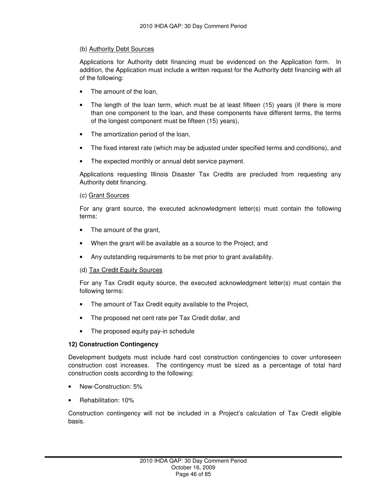## (b) Authority Debt Sources

Applications for Authority debt financing must be evidenced on the Application form. In addition, the Application must include a written request for the Authority debt financing with all of the following:

- The amount of the loan.
- The length of the loan term, which must be at least fifteen (15) years (if there is more than one component to the loan, and these components have different terms, the terms of the longest component must be fifteen (15) years),
- The amortization period of the loan,
- The fixed interest rate (which may be adjusted under specified terms and conditions), and
- The expected monthly or annual debt service payment.

Applications requesting Illinois Disaster Tax Credits are precluded from requesting any Authority debt financing.

## (c) Grant Sources

For any grant source, the executed acknowledgment letter(s) must contain the following terms:

- The amount of the grant,
- When the grant will be available as a source to the Project, and
- Any outstanding requirements to be met prior to grant availability.

## (d) Tax Credit Equity Sources

For any Tax Credit equity source, the executed acknowledgment letter(s) must contain the following terms:

- The amount of Tax Credit equity available to the Project,
- The proposed net cent rate per Tax Credit dollar, and
- The proposed equity pay-in schedule

## **12) Construction Contingency**

Development budgets must include hard cost construction contingencies to cover unforeseen construction cost increases. The contingency must be sized as a percentage of total hard construction costs according to the following:

- New-Construction: 5%
- Rehabilitation: 10%

Construction contingency will not be included in a Project's calculation of Tax Credit eligible basis.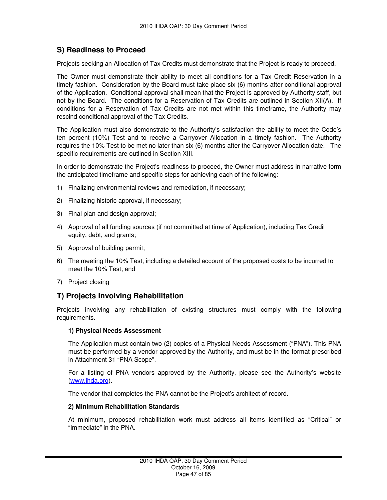## **S) Readiness to Proceed**

Projects seeking an Allocation of Tax Credits must demonstrate that the Project is ready to proceed.

The Owner must demonstrate their ability to meet all conditions for a Tax Credit Reservation in a timely fashion. Consideration by the Board must take place six (6) months after conditional approval of the Application. Conditional approval shall mean that the Project is approved by Authority staff, but not by the Board. The conditions for a Reservation of Tax Credits are outlined in Section XII(A). If conditions for a Reservation of Tax Credits are not met within this timeframe, the Authority may rescind conditional approval of the Tax Credits.

The Application must also demonstrate to the Authority's satisfaction the ability to meet the Code's ten percent (10%) Test and to receive a Carryover Allocation in a timely fashion. The Authority requires the 10% Test to be met no later than six (6) months after the Carryover Allocation date. The specific requirements are outlined in Section XIII.

In order to demonstrate the Project's readiness to proceed, the Owner must address in narrative form the anticipated timeframe and specific steps for achieving each of the following:

- 1) Finalizing environmental reviews and remediation, if necessary;
- 2) Finalizing historic approval, if necessary;
- 3) Final plan and design approval;
- 4) Approval of all funding sources (if not committed at time of Application), including Tax Credit equity, debt, and grants;
- 5) Approval of building permit;
- 6) The meeting the 10% Test, including a detailed account of the proposed costs to be incurred to meet the 10% Test; and
- 7) Project closing

## **T) Projects Involving Rehabilitation**

Projects involving any rehabilitation of existing structures must comply with the following requirements.

## **1) Physical Needs Assessment**

The Application must contain two (2) copies of a Physical Needs Assessment ("PNA"). This PNA must be performed by a vendor approved by the Authority, and must be in the format prescribed in Attachment 31 "PNA Scope".

For a listing of PNA vendors approved by the Authority, please see the Authority's website (www.ihda.org).

The vendor that completes the PNA cannot be the Project's architect of record.

## **2) Minimum Rehabilitation Standards**

At minimum, proposed rehabilitation work must address all items identified as "Critical" or "Immediate" in the PNA.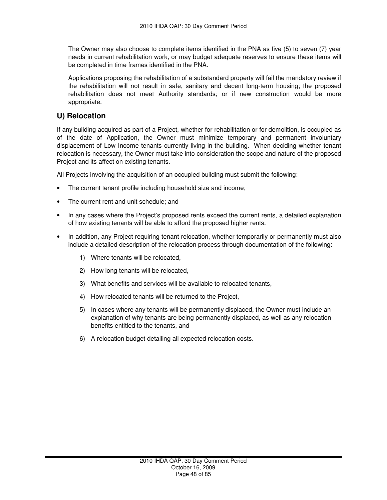The Owner may also choose to complete items identified in the PNA as five (5) to seven (7) year needs in current rehabilitation work, or may budget adequate reserves to ensure these items will be completed in time frames identified in the PNA.

Applications proposing the rehabilitation of a substandard property will fail the mandatory review if the rehabilitation will not result in safe, sanitary and decent long-term housing; the proposed rehabilitation does not meet Authority standards; or if new construction would be more appropriate.

## **U) Relocation**

If any building acquired as part of a Project, whether for rehabilitation or for demolition, is occupied as of the date of Application, the Owner must minimize temporary and permanent involuntary displacement of Low Income tenants currently living in the building. When deciding whether tenant relocation is necessary, the Owner must take into consideration the scope and nature of the proposed Project and its affect on existing tenants.

All Projects involving the acquisition of an occupied building must submit the following:

- The current tenant profile including household size and income;
- The current rent and unit schedule; and
- In any cases where the Project's proposed rents exceed the current rents, a detailed explanation of how existing tenants will be able to afford the proposed higher rents.
- In addition, any Project requiring tenant relocation, whether temporarily or permanently must also include a detailed description of the relocation process through documentation of the following:
	- 1) Where tenants will be relocated,
	- 2) How long tenants will be relocated,
	- 3) What benefits and services will be available to relocated tenants,
	- 4) How relocated tenants will be returned to the Project,
	- 5) In cases where any tenants will be permanently displaced, the Owner must include an explanation of why tenants are being permanently displaced, as well as any relocation benefits entitled to the tenants, and
	- 6) A relocation budget detailing all expected relocation costs.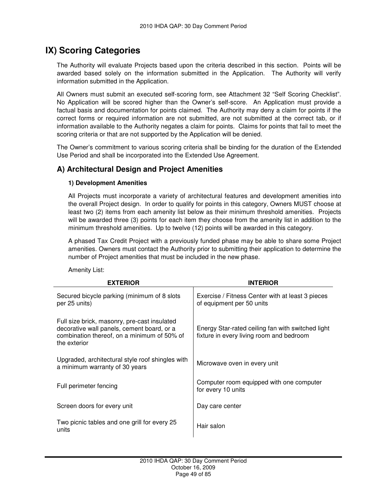# **IX) Scoring Categories**

The Authority will evaluate Projects based upon the criteria described in this section. Points will be awarded based solely on the information submitted in the Application. The Authority will verify information submitted in the Application.

All Owners must submit an executed self-scoring form, see Attachment 32 "Self Scoring Checklist". No Application will be scored higher than the Owner's self-score. An Application must provide a factual basis and documentation for points claimed. The Authority may deny a claim for points if the correct forms or required information are not submitted, are not submitted at the correct tab, or if information available to the Authority negates a claim for points. Claims for points that fail to meet the scoring criteria or that are not supported by the Application will be denied.

The Owner's commitment to various scoring criteria shall be binding for the duration of the Extended Use Period and shall be incorporated into the Extended Use Agreement.

## **A) Architectural Design and Project Amenities**

## **1) Development Amenities**

All Projects must incorporate a variety of architectural features and development amenities into the overall Project design. In order to qualify for points in this category, Owners MUST choose at least two (2) items from each amenity list below as their minimum threshold amenities. Projects will be awarded three (3) points for each item they choose from the amenity list in addition to the minimum threshold amenities. Up to twelve (12) points will be awarded in this category.

A phased Tax Credit Project with a previously funded phase may be able to share some Project amenities. Owners must contact the Authority prior to submitting their application to determine the number of Project amenities that must be included in the new phase.

Amenity List:

| <b>EXTERIOR</b>                                                                                                                                           | <b>INTERIOR</b>                                                                               |
|-----------------------------------------------------------------------------------------------------------------------------------------------------------|-----------------------------------------------------------------------------------------------|
| Secured bicycle parking (minimum of 8 slots<br>per 25 units)                                                                                              | Exercise / Fitness Center with at least 3 pieces<br>of equipment per 50 units                 |
| Full size brick, masonry, pre-cast insulated<br>decorative wall panels, cement board, or a<br>combination thereof, on a minimum of 50% of<br>the exterior | Energy Star-rated ceiling fan with switched light<br>fixture in every living room and bedroom |
| Upgraded, architectural style roof shingles with<br>a minimum warranty of 30 years                                                                        | Microwave oven in every unit                                                                  |
| Full perimeter fencing                                                                                                                                    | Computer room equipped with one computer<br>for every 10 units                                |
| Screen doors for every unit                                                                                                                               | Day care center                                                                               |
| Two picnic tables and one grill for every 25<br>units                                                                                                     | Hair salon                                                                                    |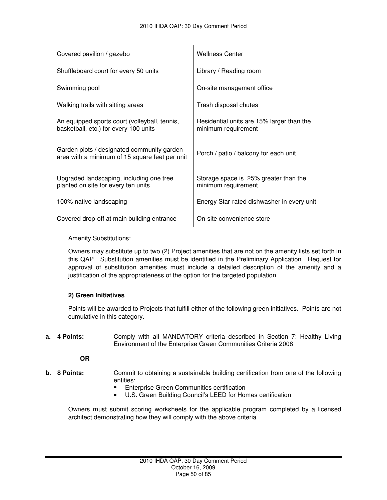| Covered pavilion / gazebo                                                                    | <b>Wellness Center</b>                                           |
|----------------------------------------------------------------------------------------------|------------------------------------------------------------------|
| Shuffleboard court for every 50 units                                                        | Library / Reading room                                           |
| Swimming pool                                                                                | On-site management office                                        |
| Walking trails with sitting areas                                                            | Trash disposal chutes                                            |
| An equipped sports court (volleyball, tennis,<br>basketball, etc.) for every 100 units       | Residential units are 15% larger than the<br>minimum requirement |
| Garden plots / designated community garden<br>area with a minimum of 15 square feet per unit | Porch / patio / balcony for each unit                            |
| Upgraded landscaping, including one tree<br>planted on site for every ten units              | Storage space is 25% greater than the<br>minimum requirement     |
| 100% native landscaping                                                                      | Energy Star-rated dishwasher in every unit                       |
| Covered drop-off at main building entrance                                                   | On-site convenience store                                        |

Amenity Substitutions:

Owners may substitute up to two (2) Project amenities that are not on the amenity lists set forth in this QAP. Substitution amenities must be identified in the Preliminary Application. Request for approval of substitution amenities must include a detailed description of the amenity and a justification of the appropriateness of the option for the targeted population.

## **2) Green Initiatives**

Points will be awarded to Projects that fulfill either of the following green initiatives. Points are not cumulative in this category.

**a.** 4 Points: Comply with all MANDATORY criteria described in Section 7: Healthy Living Environment of the Enterprise Green Communities Criteria 2008

**OR** 

- **b.** 8 **Points:** Commit to obtaining a sustainable building certification from one of the following entities:
	- **Enterprise Green Communities certification**
	- U.S. Green Building Council's LEED for Homes certification

Owners must submit scoring worksheets for the applicable program completed by a licensed architect demonstrating how they will comply with the above criteria.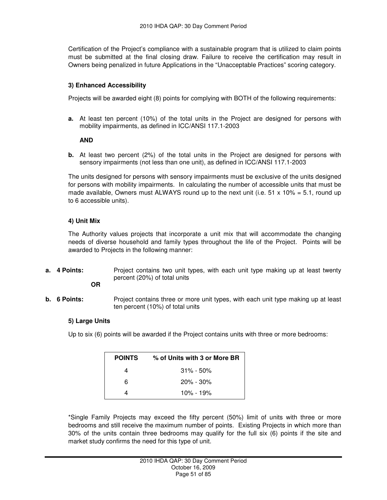Certification of the Project's compliance with a sustainable program that is utilized to claim points must be submitted at the final closing draw. Failure to receive the certification may result in Owners being penalized in future Applications in the "Unacceptable Practices" scoring category.

## **3) Enhanced Accessibility**

Projects will be awarded eight (8) points for complying with BOTH of the following requirements:

**a.** At least ten percent (10%) of the total units in the Project are designed for persons with mobility impairments, as defined in ICC/ANSI 117.1-2003

### **AND**

**b.** At least two percent (2%) of the total units in the Project are designed for persons with sensory impairments (not less than one unit), as defined in ICC/ANSI 117.1-2003

The units designed for persons with sensory impairments must be exclusive of the units designed for persons with mobility impairments. In calculating the number of accessible units that must be made available, Owners must ALWAYS round up to the next unit (i.e. 51 x 10% = 5.1, round up to 6 accessible units).

## **4) Unit Mix**

The Authority values projects that incorporate a unit mix that will accommodate the changing needs of diverse household and family types throughout the life of the Project. Points will be awarded to Projects in the following manner:

**a.** 4 Points: **Project contains two unit types, with each unit type making up at least twenty** percent (20%) of total units

## **OR**

**b. 6 Points:** Project contains three or more unit types, with each unit type making up at least ten percent (10%) of total units

## **5) Large Units**

Up to six (6) points will be awarded if the Project contains units with three or more bedrooms:

| <b>POINTS</b> | % of Units with 3 or More BR |
|---------------|------------------------------|
|               | $31\% - 50\%$                |
| 6             | $20\% - 30\%$                |
|               | $10\% - 19\%$                |

\*Single Family Projects may exceed the fifty percent (50%) limit of units with three or more bedrooms and still receive the maximum number of points. Existing Projects in which more than 30% of the units contain three bedrooms may qualify for the full six (6) points if the site and market study confirms the need for this type of unit.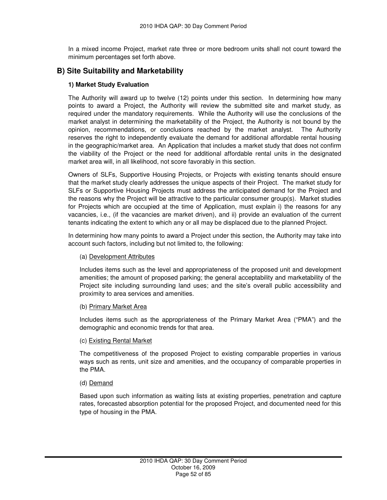In a mixed income Project, market rate three or more bedroom units shall not count toward the minimum percentages set forth above.

## **B) Site Suitability and Marketability**

## **1) Market Study Evaluation**

The Authority will award up to twelve (12) points under this section. In determining how many points to award a Project, the Authority will review the submitted site and market study, as required under the mandatory requirements. While the Authority will use the conclusions of the market analyst in determining the marketability of the Project, the Authority is not bound by the opinion, recommendations, or conclusions reached by the market analyst. The Authority reserves the right to independently evaluate the demand for additional affordable rental housing in the geographic/market area. An Application that includes a market study that does not confirm the viability of the Project or the need for additional affordable rental units in the designated market area will, in all likelihood, not score favorably in this section.

Owners of SLFs, Supportive Housing Projects, or Projects with existing tenants should ensure that the market study clearly addresses the unique aspects of their Project. The market study for SLFs or Supportive Housing Projects must address the anticipated demand for the Project and the reasons why the Project will be attractive to the particular consumer group(s). Market studies for Projects which are occupied at the time of Application, must explain i) the reasons for any vacancies, i.e., (if the vacancies are market driven), and ii) provide an evaluation of the current tenants indicating the extent to which any or all may be displaced due to the planned Project.

In determining how many points to award a Project under this section, the Authority may take into account such factors, including but not limited to, the following:

## (a) Development Attributes

Includes items such as the level and appropriateness of the proposed unit and development amenities; the amount of proposed parking; the general acceptability and marketability of the Project site including surrounding land uses; and the site's overall public accessibility and proximity to area services and amenities.

#### (b) Primary Market Area

Includes items such as the appropriateness of the Primary Market Area ("PMA") and the demographic and economic trends for that area.

## (c) Existing Rental Market

The competitiveness of the proposed Project to existing comparable properties in various ways such as rents, unit size and amenities, and the occupancy of comparable properties in the PMA.

## (d) Demand

Based upon such information as waiting lists at existing properties, penetration and capture rates, forecasted absorption potential for the proposed Project, and documented need for this type of housing in the PMA.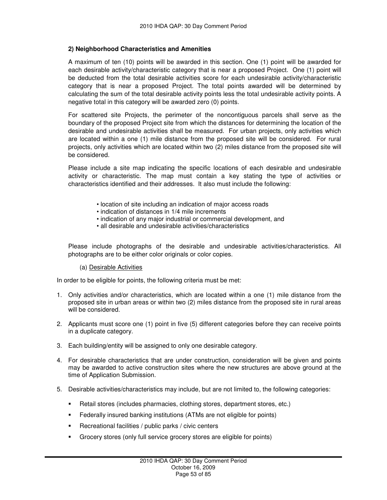## **2) Neighborhood Characteristics and Amenities**

A maximum of ten (10) points will be awarded in this section. One (1) point will be awarded for each desirable activity/characteristic category that is near a proposed Project. One (1) point will be deducted from the total desirable activities score for each undesirable activity/characteristic category that is near a proposed Project. The total points awarded will be determined by calculating the sum of the total desirable activity points less the total undesirable activity points. A negative total in this category will be awarded zero (0) points.

For scattered site Projects, the perimeter of the noncontiguous parcels shall serve as the boundary of the proposed Project site from which the distances for determining the location of the desirable and undesirable activities shall be measured. For urban projects, only activities which are located within a one (1) mile distance from the proposed site will be considered. For rural projects, only activities which are located within two (2) miles distance from the proposed site will be considered.

Please include a site map indicating the specific locations of each desirable and undesirable activity or characteristic. The map must contain a key stating the type of activities or characteristics identified and their addresses. It also must include the following:

- location of site including an indication of major access roads
- indication of distances in 1/4 mile increments
- indication of any major industrial or commercial development, and
- all desirable and undesirable activities/characteristics

Please include photographs of the desirable and undesirable activities/characteristics. All photographs are to be either color originals or color copies.

(a) Desirable Activities

In order to be eligible for points, the following criteria must be met:

- 1. Only activities and/or characteristics, which are located within a one (1) mile distance from the proposed site in urban areas or within two (2) miles distance from the proposed site in rural areas will be considered.
- 2. Applicants must score one (1) point in five (5) different categories before they can receive points in a duplicate category.
- 3. Each building/entity will be assigned to only one desirable category.
- 4. For desirable characteristics that are under construction, consideration will be given and points may be awarded to active construction sites where the new structures are above ground at the time of Application Submission.
- 5. Desirable activities/characteristics may include, but are not limited to, the following categories:
	- Retail stores (includes pharmacies, clothing stores, department stores, etc.)
	- Federally insured banking institutions (ATMs are not eligible for points)
	- **Recreational facilities / public parks / civic centers**
	- Grocery stores (only full service grocery stores are eligible for points)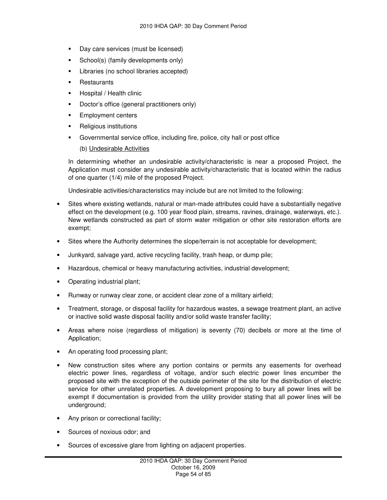- Day care services (must be licensed)
- School(s) (family developments only)
- **Libraries (no school libraries accepted)**
- **Restaurants**
- **Hospital / Health clinic**
- **Doctor's office (general practitioners only)**
- Employment centers
- **Religious institutions**
- Governmental service office, including fire, police, city hall or post office

## (b) Undesirable Activities

In determining whether an undesirable activity/characteristic is near a proposed Project, the Application must consider any undesirable activity/characteristic that is located within the radius of one quarter (1/4) mile of the proposed Project.

Undesirable activities/characteristics may include but are not limited to the following:

- Sites where existing wetlands, natural or man-made attributes could have a substantially negative effect on the development (e.g. 100 year flood plain, streams, ravines, drainage, waterways, etc.). New wetlands constructed as part of storm water mitigation or other site restoration efforts are exempt;
- Sites where the Authority determines the slope/terrain is not acceptable for development;
- Junkyard, salvage yard, active recycling facility, trash heap, or dump pile;
- Hazardous, chemical or heavy manufacturing activities, industrial development;
- Operating industrial plant;
- Runway or runway clear zone, or accident clear zone of a military airfield;
- Treatment, storage, or disposal facility for hazardous wastes, a sewage treatment plant, an active or inactive solid waste disposal facility and/or solid waste transfer facility;
- Areas where noise (regardless of mitigation) is seventy (70) decibels or more at the time of Application;
- An operating food processing plant;
- New construction sites where any portion contains or permits any easements for overhead electric power lines, regardless of voltage, and/or such electric power lines encumber the proposed site with the exception of the outside perimeter of the site for the distribution of electric service for other unrelated properties. A development proposing to bury all power lines will be exempt if documentation is provided from the utility provider stating that all power lines will be underground;
- Any prison or correctional facility;
- Sources of noxious odor; and
- Sources of excessive glare from lighting on adjacent properties.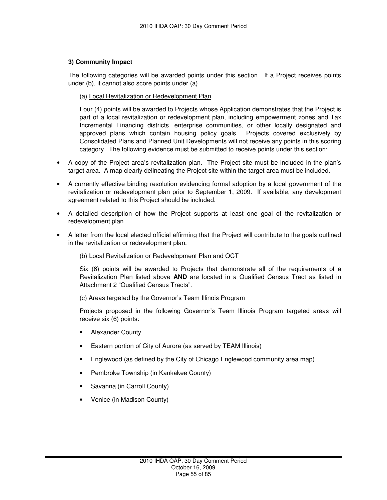## **3) Community Impact**

The following categories will be awarded points under this section. If a Project receives points under (b), it cannot also score points under (a).

## (a) Local Revitalization or Redevelopment Plan

Four (4) points will be awarded to Projects whose Application demonstrates that the Project is part of a local revitalization or redevelopment plan, including empowerment zones and Tax Incremental Financing districts, enterprise communities, or other locally designated and approved plans which contain housing policy goals. Projects covered exclusively by Consolidated Plans and Planned Unit Developments will not receive any points in this scoring category. The following evidence must be submitted to receive points under this section:

- A copy of the Project area's revitalization plan. The Project site must be included in the plan's target area. A map clearly delineating the Project site within the target area must be included.
- A currently effective binding resolution evidencing formal adoption by a local government of the revitalization or redevelopment plan prior to September 1, 2009. If available, any development agreement related to this Project should be included.
- A detailed description of how the Project supports at least one goal of the revitalization or redevelopment plan.
- A letter from the local elected official affirming that the Project will contribute to the goals outlined in the revitalization or redevelopment plan.

## (b) Local Revitalization or Redevelopment Plan and QCT

Six (6) points will be awarded to Projects that demonstrate all of the requirements of a Revitalization Plan listed above **AND** are located in a Qualified Census Tract as listed in Attachment 2 "Qualified Census Tracts".

#### (c) Areas targeted by the Governor's Team Illinois Program

Projects proposed in the following Governor's Team Illinois Program targeted areas will receive six (6) points:

- Alexander County
- Eastern portion of City of Aurora (as served by TEAM Illinois)
- Englewood (as defined by the City of Chicago Englewood community area map)
- Pembroke Township (in Kankakee County)
- Savanna (in Carroll County)
- Venice (in Madison County)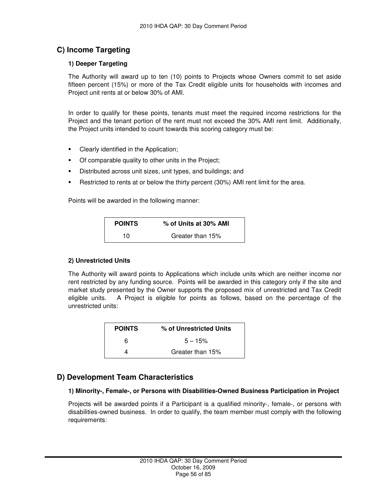## **C) Income Targeting**

## **1) Deeper Targeting**

The Authority will award up to ten (10) points to Projects whose Owners commit to set aside fifteen percent (15%) or more of the Tax Credit eligible units for households with incomes and Project unit rents at or below 30% of AMI.

In order to qualify for these points, tenants must meet the required income restrictions for the Project and the tenant portion of the rent must not exceed the 30% AMI rent limit. Additionally, the Project units intended to count towards this scoring category must be:

- **Clearly identified in the Application;**
- Of comparable quality to other units in the Project;
- Distributed across unit sizes, unit types, and buildings; and
- **Restricted to rents at or below the thirty percent (30%) AMI rent limit for the area.**

Points will be awarded in the following manner:

| <b>POINTS</b> | % of Units at 30% AMI |
|---------------|-----------------------|
| 10            | Greater than 15%      |

## **2) Unrestricted Units**

The Authority will award points to Applications which include units which are neither income nor rent restricted by any funding source. Points will be awarded in this category only if the site and market study presented by the Owner supports the proposed mix of unrestricted and Tax Credit eligible units. A Project is eligible for points as follows, based on the percentage of the unrestricted units:

| <b>POINTS</b> | % of Unrestricted Units |
|---------------|-------------------------|
| 6             | $5 - 15%$               |
|               | Greater than 15%        |

## **D) Development Team Characteristics**

## **1) Minority-, Female-, or Persons with Disabilities-Owned Business Participation in Project**

Projects will be awarded points if a Participant is a qualified minority-, female-, or persons with disabilities-owned business. In order to qualify, the team member must comply with the following requirements: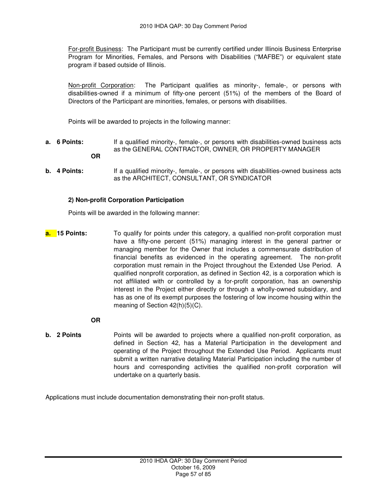For-profit Business: The Participant must be currently certified under Illinois Business Enterprise Program for Minorities, Females, and Persons with Disabilities ("MAFBE") or equivalent state program if based outside of Illinois.

Non-profit Corporation: The Participant qualifies as minority-, female-, or persons with disabilities-owned if a minimum of fifty-one percent (51%) of the members of the Board of Directors of the Participant are minorities, females, or persons with disabilities.

Points will be awarded to projects in the following manner:

- **a. 6 Points:** If a qualified minority-, female-, or persons with disabilities-owned business acts as the GENERAL CONTRACTOR, OWNER, OR PROPERTY MANAGER
	- **OR**
- **b.** 4 Points: If a qualified minority-, female-, or persons with disabilities-owned business acts as the ARCHITECT, CONSULTANT, OR SYNDICATOR

## **2) Non-profit Corporation Participation**

Points will be awarded in the following manner:

**a. 15 Points:** To qualify for points under this category, a qualified non-profit corporation must have a fifty-one percent (51%) managing interest in the general partner or managing member for the Owner that includes a commensurate distribution of financial benefits as evidenced in the operating agreement. The non-profit corporation must remain in the Project throughout the Extended Use Period. A qualified nonprofit corporation, as defined in Section 42, is a corporation which is not affiliated with or controlled by a for-profit corporation, has an ownership interest in the Project either directly or through a wholly-owned subsidiary, and has as one of its exempt purposes the fostering of low income housing within the meaning of Section 42(h)(5)(C).

 **OR** 

**b.** 2 Points **Points Points** will be awarded to projects where a qualified non-profit corporation, as defined in Section 42, has a Material Participation in the development and operating of the Project throughout the Extended Use Period. Applicants must submit a written narrative detailing Material Participation including the number of hours and corresponding activities the qualified non-profit corporation will undertake on a quarterly basis.

Applications must include documentation demonstrating their non-profit status.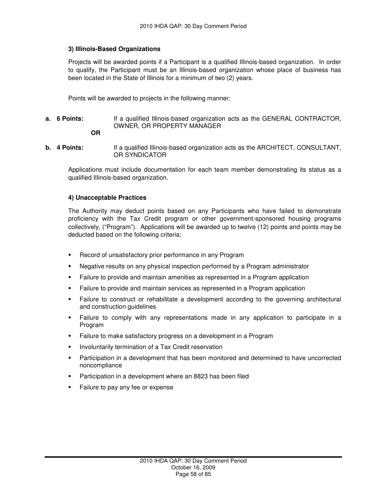### **3) Illinois-Based Organizations**

Projects will be awarded points if a Participant is a qualified Illinois-based organization. In order to qualify, the Participant must be an Illinois-based organization whose place of business has been located in the State of Illinois for a minimum of two (2) years.

Points will be awarded to projects in the following manner:

- **a. 6 Points:** If a qualified Illinois-based organization acts as the GENERAL CONTRACTOR, OWNER, OR PROPERTY MANAGER
	- **OR**
- **b. 4 Points:** If a qualified Illinois-based organization acts as the ARCHITECT, CONSULTANT, OR SYNDICATOR

Applications must include documentation for each team member demonstrating its status as a qualified Illinois-based organization.

### **4) Unacceptable Practices**

The Authority may deduct points based on any Participants who have failed to demonstrate proficiency with the Tax Credit program or other government-sponsored housing programs collectively, ("Program"). Applications will be awarded up to twelve (12) points and points may be deducted based on the following criteria:

- **EXECORD FIGURE 1** Record of unsatisfactory prior performance in any Program
- Negative results on any physical inspection performed by a Program administrator
- **Failure to provide and maintain amenities as represented in a Program application**
- Failure to provide and maintain services as represented in a Program application
- Failure to construct or rehabilitate a development according to the governing architectural and construction guidelines
- Failure to comply with any representations made in any application to participate in a Program
- **Failure to make satisfactory progress on a development in a Program**
- **Involuntarily termination of a Tax Credit reservation**
- **Participation in a development that has been monitored and determined to have uncorrected** noncompliance
- **Participation in a development where an 8823 has been filed**
- Failure to pay any fee or expense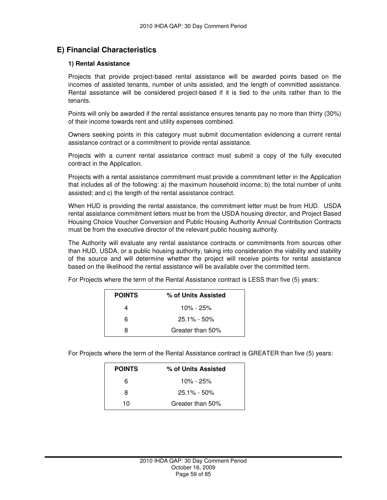## **E) Financial Characteristics**

### **1) Rental Assistance**

Projects that provide project-based rental assistance will be awarded points based on the incomes of assisted tenants, number of units assisted, and the length of committed assistance. Rental assistance will be considered project-based if it is tied to the units rather than to the tenants.

Points will only be awarded if the rental assistance ensures tenants pay no more than thirty (30%) of their income towards rent and utility expenses combined.

Owners seeking points in this category must submit documentation evidencing a current rental assistance contract or a commitment to provide rental assistance.

Projects with a current rental assistance contract must submit a copy of the fully executed contract in the Application.

Projects with a rental assistance commitment must provide a commitment letter in the Application that includes all of the following: a) the maximum household income; b) the total number of units assisted; and c) the length of the rental assistance contract.

When HUD is providing the rental assistance, the commitment letter must be from HUD. USDA rental assistance commitment letters must be from the USDA housing director, and Project Based Housing Choice Voucher Conversion and Public Housing Authority Annual Contribution Contracts must be from the executive director of the relevant public housing authority.

The Authority will evaluate any rental assistance contracts or commitments from sources other than HUD, USDA, or a public housing authority, taking into consideration the viability and stability of the source and will determine whether the project will receive points for rental assistance based on the likelihood the rental assistance will be available over the committed term.

|  | For Projects where the term of the Rental Assistance contract is LESS than five (5) years: |
|--|--------------------------------------------------------------------------------------------|
|--|--------------------------------------------------------------------------------------------|

| <b>POINTS</b> | % of Units Assisted |
|---------------|---------------------|
|               | 10% - 25%           |
| 6             | $25.1\% - 50\%$     |
| R             | Greater than 50%    |

For Projects where the term of the Rental Assistance contract is GREATER than five (5) years:

| <b>POINTS</b> | % of Units Assisted |
|---------------|---------------------|
| 6             | $10\% - 25\%$       |
| 8             | $25.1\% - 50\%$     |
| 10            | Greater than 50%    |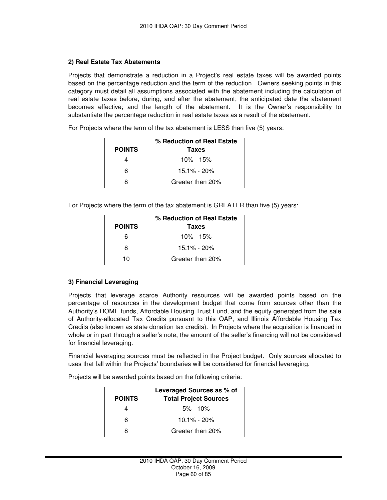## **2) Real Estate Tax Abatements**

Projects that demonstrate a reduction in a Project's real estate taxes will be awarded points based on the percentage reduction and the term of the reduction. Owners seeking points in this category must detail all assumptions associated with the abatement including the calculation of real estate taxes before, during, and after the abatement; the anticipated date the abatement becomes effective; and the length of the abatement. It is the Owner's responsibility to substantiate the percentage reduction in real estate taxes as a result of the abatement.

For Projects where the term of the tax abatement is LESS than five (5) years:

|               | % Reduction of Real Estate |
|---------------|----------------------------|
| <b>POINTS</b> | <b>Taxes</b>               |
| 4             | 10% - 15%                  |
| 6             | $15.1\% - 20\%$            |
| я             | Greater than 20%           |

For Projects where the term of the tax abatement is GREATER than five (5) years:

|               | % Reduction of Real Estate |
|---------------|----------------------------|
| <b>POINTS</b> | <b>Taxes</b>               |
| 6             | 10% - 15%                  |
| 8             | $15.1\% - 20\%$            |
| 10            | Greater than 20%           |

## **3) Financial Leveraging**

Projects that leverage scarce Authority resources will be awarded points based on the percentage of resources in the development budget that come from sources other than the Authority's HOME funds, Affordable Housing Trust Fund, and the equity generated from the sale of Authority-allocated Tax Credits pursuant to this QAP, and Illinois Affordable Housing Tax Credits (also known as state donation tax credits). In Projects where the acquisition is financed in whole or in part through a seller's note, the amount of the seller's financing will not be considered for financial leveraging.

Financial leveraging sources must be reflected in the Project budget. Only sources allocated to uses that fall within the Projects' boundaries will be considered for financial leveraging.

Projects will be awarded points based on the following criteria:

|               | Leveraged Sources as % of    |
|---------------|------------------------------|
| <b>POINTS</b> | <b>Total Project Sources</b> |
|               | $5\% - 10\%$                 |
| 6             | $10.1\% - 20\%$              |
| я             | Greater than 20%             |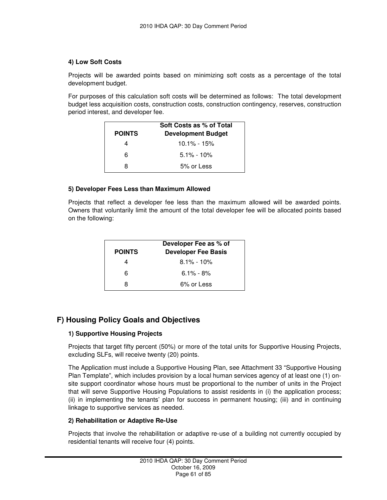## **4) Low Soft Costs**

Projects will be awarded points based on minimizing soft costs as a percentage of the total development budget.

For purposes of this calculation soft costs will be determined as follows: The total development budget less acquisition costs, construction costs, construction contingency, reserves, construction period interest, and developer fee.

| <b>POINTS</b> | Soft Costs as % of Total<br><b>Development Budget</b> |
|---------------|-------------------------------------------------------|
| 4             | <u> 10.1% - 15%</u>                                   |
| 6             | $5.1\% - 10\%$                                        |
| я             | 5% or Less                                            |

## **5) Developer Fees Less than Maximum Allowed**

Projects that reflect a developer fee less than the maximum allowed will be awarded points. Owners that voluntarily limit the amount of the total developer fee will be allocated points based on the following:

| <b>POINTS</b> | Developer Fee as % of<br><b>Developer Fee Basis</b> |
|---------------|-----------------------------------------------------|
|               | $8.1\% - 10\%$                                      |
| 6             | $6.1\% - 8\%$                                       |
| я             | 6% or Less                                          |

## **F) Housing Policy Goals and Objectives**

## **1) Supportive Housing Projects**

Projects that target fifty percent (50%) or more of the total units for Supportive Housing Projects, excluding SLFs, will receive twenty (20) points.

The Application must include a Supportive Housing Plan, see Attachment 33 "Supportive Housing Plan Template", which includes provision by a local human services agency of at least one (1) onsite support coordinator whose hours must be proportional to the number of units in the Project that will serve Supportive Housing Populations to assist residents in (i) the application process; (ii) in implementing the tenants' plan for success in permanent housing; (iii) and in continuing linkage to supportive services as needed.

## **2) Rehabilitation or Adaptive Re-Use**

Projects that involve the rehabilitation or adaptive re-use of a building not currently occupied by residential tenants will receive four (4) points.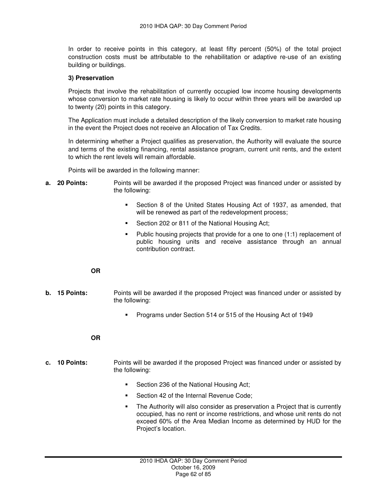In order to receive points in this category, at least fifty percent (50%) of the total project construction costs must be attributable to the rehabilitation or adaptive re-use of an existing building or buildings.

### **3) Preservation**

Projects that involve the rehabilitation of currently occupied low income housing developments whose conversion to market rate housing is likely to occur within three years will be awarded up to twenty (20) points in this category.

The Application must include a detailed description of the likely conversion to market rate housing in the event the Project does not receive an Allocation of Tax Credits.

In determining whether a Project qualifies as preservation, the Authority will evaluate the source and terms of the existing financing, rental assistance program, current unit rents, and the extent to which the rent levels will remain affordable.

Points will be awarded in the following manner:

- **a. 20 Points:** Points will be awarded if the proposed Project was financed under or assisted by the following:
	- Section 8 of the United States Housing Act of 1937, as amended, that will be renewed as part of the redevelopment process;
	- Section 202 or 811 of the National Housing Act;
	- Public housing projects that provide for a one to one (1:1) replacement of public housing units and receive assistance through an annual contribution contract.

### **OR**

- **b. 15 Points:** Points will be awarded if the proposed Project was financed under or assisted by the following:
	- **Programs under Section 514 or 515 of the Housing Act of 1949**

#### **OR**

- **c. 10 Points:** Points will be awarded if the proposed Project was financed under or assisted by the following:
	- Section 236 of the National Housing Act;
	- **Section 42 of the Internal Revenue Code;**
	- The Authority will also consider as preservation a Project that is currently occupied, has no rent or income restrictions, and whose unit rents do not exceed 60% of the Area Median Income as determined by HUD for the Project's location.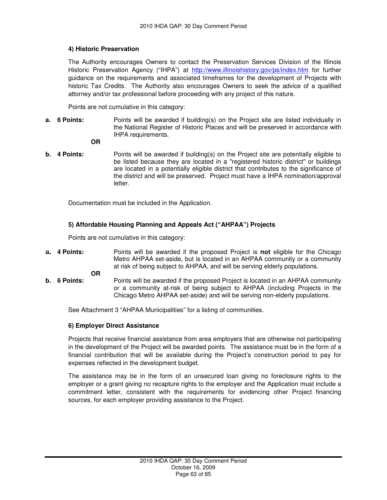## **4) Historic Preservation**

The Authority encourages Owners to contact the Preservation Services Division of the Illinois Historic Preservation Agency ("IHPA") at http://www.illinoishistory.gov/ps/index.htm for further guidance on the requirements and associated timeframes for the development of Projects with historic Tax Credits. The Authority also encourages Owners to seek the advice of a qualified attorney and/or tax professional before proceeding with any project of this nature.

Points are not cumulative in this category:

**a. 6 Points:** Points will be awarded if building(s) on the Project site are listed individually in the National Register of Historic Places and will be preserved in accordance with IHPA requirements.

 **OR** 

**b.** 4 Points: Points will be awarded if building(s) on the Project site are potentially eligible to be listed because they are located in a "registered historic district" or buildings are located in a potentially eligible district that contributes to the significance of the district and will be preserved. Project must have a IHPA nomination/approval letter.

Documentation must be included in the Application.

## **5) Affordable Housing Planning and Appeals Act ("AHPAA") Projects**

Points are not cumulative in this category:

**a. 4 Points:** Points will be awarded if the proposed Project is **not** eligible for the Chicago Metro AHPAA set-aside, but is located in an AHPAA community or a community at risk of being subject to AHPAA, and will be serving elderly populations.

**OR** 

**b. 6 Points:** Points will be awarded if the proposed Project is located in an AHPAA community or a community at-risk of being subject to AHPAA (including Projects in the Chicago Metro AHPAA set-aside) and will be serving non-elderly populations.

See Attachment 3 "AHPAA Municipalities" for a listing of communities.

## **6) Employer Direct Assistance**

Projects that receive financial assistance from area employers that are otherwise not participating in the development of the Project will be awarded points. The assistance must be in the form of a financial contribution that will be available during the Project's construction period to pay for expenses reflected in the development budget.

The assistance may be in the form of an unsecured loan giving no foreclosure rights to the employer or a grant giving no recapture rights to the employer and the Application must include a commitment letter, consistent with the requirements for evidencing other Project financing sources, for each employer providing assistance to the Project.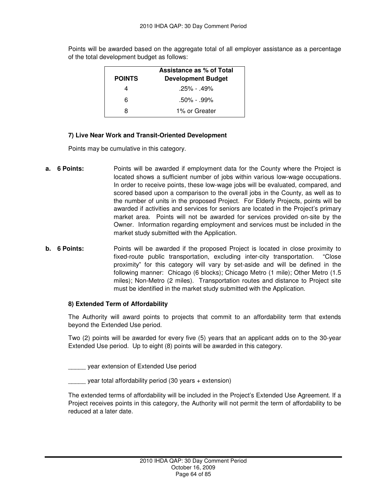Points will be awarded based on the aggregate total of all employer assistance as a percentage of the total development budget as follows:

|               | Assistance as % of Total  |
|---------------|---------------------------|
| <b>POINTS</b> | <b>Development Budget</b> |
|               | $.25\% - .49\%$           |
| ิค            | $.50\% - .99\%$           |
| я             | 1% or Greater             |

### **7) Live Near Work and Transit-Oriented Development**

Points may be cumulative in this category.

- **a. 6 Points:** Points will be awarded if employment data for the County where the Project is located shows a sufficient number of jobs within various low-wage occupations. In order to receive points, these low-wage jobs will be evaluated, compared, and scored based upon a comparison to the overall jobs in the County, as well as to the number of units in the proposed Project. For Elderly Projects, points will be awarded if activities and services for seniors are located in the Project's primary market area. Points will not be awarded for services provided on-site by the Owner. Information regarding employment and services must be included in the market study submitted with the Application.
- **b. 6 Points:** Points will be awarded if the proposed Project is located in close proximity to fixed-route public transportation, excluding inter-city transportation. "Close proximity" for this category will vary by set-aside and will be defined in the following manner: Chicago (6 blocks); Chicago Metro (1 mile); Other Metro (1.5 miles); Non-Metro (2 miles). Transportation routes and distance to Project site must be identified in the market study submitted with the Application.

#### **8) Extended Term of Affordability**

The Authority will award points to projects that commit to an affordability term that extends beyond the Extended Use period.

Two (2) points will be awarded for every five (5) years that an applicant adds on to the 30-year Extended Use period. Up to eight (8) points will be awarded in this category.

\_\_\_\_\_ year extension of Extended Use period

year total affordability period (30 years + extension)

The extended terms of affordability will be included in the Project's Extended Use Agreement. If a Project receives points in this category, the Authority will not permit the term of affordability to be reduced at a later date.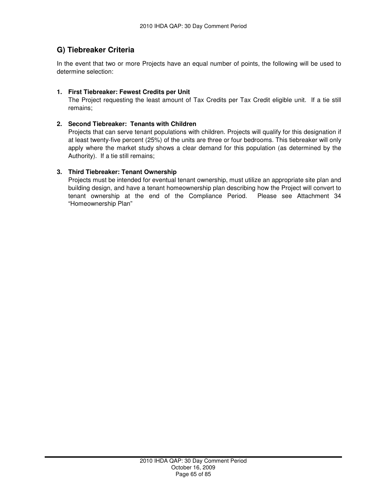## **G) Tiebreaker Criteria**

In the event that two or more Projects have an equal number of points, the following will be used to determine selection:

## **1. First Tiebreaker: Fewest Credits per Unit**

The Project requesting the least amount of Tax Credits per Tax Credit eligible unit. If a tie still remains;

## **2. Second Tiebreaker: Tenants with Children**

Projects that can serve tenant populations with children. Projects will qualify for this designation if at least twenty-five percent (25%) of the units are three or four bedrooms. This tiebreaker will only apply where the market study shows a clear demand for this population (as determined by the Authority). If a tie still remains;

## **3. Third Tiebreaker: Tenant Ownership**

Projects must be intended for eventual tenant ownership, must utilize an appropriate site plan and building design, and have a tenant homeownership plan describing how the Project will convert to tenant ownership at the end of the Compliance Period. Please see Attachment 34 "Homeownership Plan"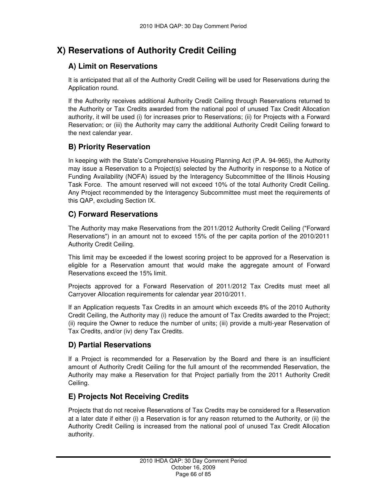# **X) Reservations of Authority Credit Ceiling**

## **A) Limit on Reservations**

It is anticipated that all of the Authority Credit Ceiling will be used for Reservations during the Application round.

If the Authority receives additional Authority Credit Ceiling through Reservations returned to the Authority or Tax Credits awarded from the national pool of unused Tax Credit Allocation authority, it will be used (i) for increases prior to Reservations; (ii) for Projects with a Forward Reservation; or (iii) the Authority may carry the additional Authority Credit Ceiling forward to the next calendar year.

## **B) Priority Reservation**

In keeping with the State's Comprehensive Housing Planning Act (P.A. 94-965), the Authority may issue a Reservation to a Project(s) selected by the Authority in response to a Notice of Funding Availability (NOFA) issued by the Interagency Subcommittee of the Illinois Housing Task Force. The amount reserved will not exceed 10% of the total Authority Credit Ceiling. Any Project recommended by the Interagency Subcommittee must meet the requirements of this QAP, excluding Section IX.

## **C) Forward Reservations**

The Authority may make Reservations from the 2011/2012 Authority Credit Ceiling ("Forward Reservations") in an amount not to exceed 15% of the per capita portion of the 2010/2011 Authority Credit Ceiling.

This limit may be exceeded if the lowest scoring project to be approved for a Reservation is eligible for a Reservation amount that would make the aggregate amount of Forward Reservations exceed the 15% limit.

Projects approved for a Forward Reservation of 2011/2012 Tax Credits must meet all Carryover Allocation requirements for calendar year 2010/2011.

If an Application requests Tax Credits in an amount which exceeds 8% of the 2010 Authority Credit Ceiling, the Authority may (i) reduce the amount of Tax Credits awarded to the Project; (ii) require the Owner to reduce the number of units; (iii) provide a multi-year Reservation of Tax Credits, and/or (iv) deny Tax Credits.

## **D) Partial Reservations**

If a Project is recommended for a Reservation by the Board and there is an insufficient amount of Authority Credit Ceiling for the full amount of the recommended Reservation, the Authority may make a Reservation for that Project partially from the 2011 Authority Credit Ceiling.

## **E) Projects Not Receiving Credits**

Projects that do not receive Reservations of Tax Credits may be considered for a Reservation at a later date if either (i) a Reservation is for any reason returned to the Authority, or (ii) the Authority Credit Ceiling is increased from the national pool of unused Tax Credit Allocation authority.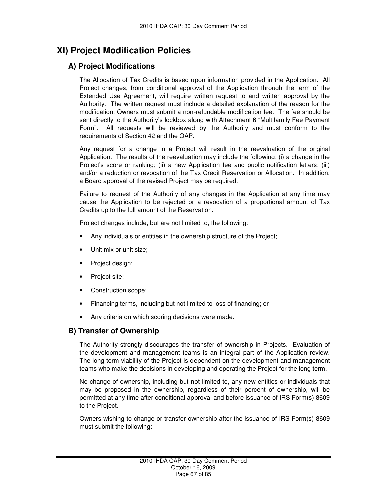# **XI) Project Modification Policies**

## **A) Project Modifications**

The Allocation of Tax Credits is based upon information provided in the Application. All Project changes, from conditional approval of the Application through the term of the Extended Use Agreement, will require written request to and written approval by the Authority. The written request must include a detailed explanation of the reason for the modification. Owners must submit a non-refundable modification fee. The fee should be sent directly to the Authority's lockbox along with Attachment 6 "Multifamily Fee Payment Form". All requests will be reviewed by the Authority and must conform to the requirements of Section 42 and the QAP.

Any request for a change in a Project will result in the reevaluation of the original Application. The results of the reevaluation may include the following: (i) a change in the Project's score or ranking; (ii) a new Application fee and public notification letters; (iii) and/or a reduction or revocation of the Tax Credit Reservation or Allocation. In addition, a Board approval of the revised Project may be required.

Failure to request of the Authority of any changes in the Application at any time may cause the Application to be rejected or a revocation of a proportional amount of Tax Credits up to the full amount of the Reservation.

Project changes include, but are not limited to, the following:

- Any individuals or entities in the ownership structure of the Project;
- Unit mix or unit size;
- Project design;
- Project site;
- Construction scope;
- Financing terms, including but not limited to loss of financing; or
- Any criteria on which scoring decisions were made.

## **B) Transfer of Ownership**

The Authority strongly discourages the transfer of ownership in Projects. Evaluation of the development and management teams is an integral part of the Application review. The long term viability of the Project is dependent on the development and management teams who make the decisions in developing and operating the Project for the long term.

No change of ownership, including but not limited to, any new entities or individuals that may be proposed in the ownership, regardless of their percent of ownership, will be permitted at any time after conditional approval and before issuance of IRS Form(s) 8609 to the Project.

Owners wishing to change or transfer ownership after the issuance of IRS Form(s) 8609 must submit the following: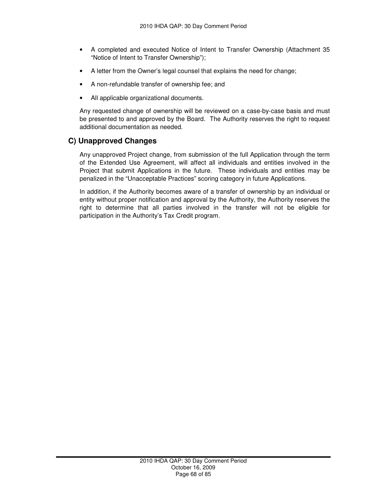- A completed and executed Notice of Intent to Transfer Ownership (Attachment 35 "Notice of Intent to Transfer Ownership");
- A letter from the Owner's legal counsel that explains the need for change;
- A non-refundable transfer of ownership fee; and
- All applicable organizational documents.

Any requested change of ownership will be reviewed on a case-by-case basis and must be presented to and approved by the Board. The Authority reserves the right to request additional documentation as needed.

## **C) Unapproved Changes**

Any unapproved Project change, from submission of the full Application through the term of the Extended Use Agreement, will affect all individuals and entities involved in the Project that submit Applications in the future. These individuals and entities may be penalized in the "Unacceptable Practices" scoring category in future Applications.

In addition, if the Authority becomes aware of a transfer of ownership by an individual or entity without proper notification and approval by the Authority, the Authority reserves the right to determine that all parties involved in the transfer will not be eligible for participation in the Authority's Tax Credit program.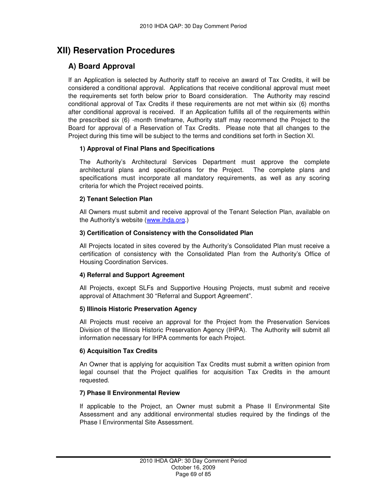# **XII) Reservation Procedures**

## **A) Board Approval**

If an Application is selected by Authority staff to receive an award of Tax Credits, it will be considered a conditional approval. Applications that receive conditional approval must meet the requirements set forth below prior to Board consideration. The Authority may rescind conditional approval of Tax Credits if these requirements are not met within six (6) months after conditional approval is received. If an Application fulfills all of the requirements within the prescribed six (6) -month timeframe, Authority staff may recommend the Project to the Board for approval of a Reservation of Tax Credits. Please note that all changes to the Project during this time will be subject to the terms and conditions set forth in Section XI.

## **1) Approval of Final Plans and Specifications**

The Authority's Architectural Services Department must approve the complete architectural plans and specifications for the Project. The complete plans and specifications must incorporate all mandatory requirements, as well as any scoring criteria for which the Project received points.

## **2) Tenant Selection Plan**

All Owners must submit and receive approval of the Tenant Selection Plan, available on the Authority's website (www.ihda.org.)

## **3) Certification of Consistency with the Consolidated Plan**

All Projects located in sites covered by the Authority's Consolidated Plan must receive a certification of consistency with the Consolidated Plan from the Authority's Office of Housing Coordination Services.

## **4) Referral and Support Agreement**

All Projects, except SLFs and Supportive Housing Projects, must submit and receive approval of Attachment 30 "Referral and Support Agreement".

## **5) Illinois Historic Preservation Agency**

All Projects must receive an approval for the Project from the Preservation Services Division of the Illinois Historic Preservation Agency (IHPA). The Authority will submit all information necessary for IHPA comments for each Project.

## **6) Acquisition Tax Credits**

An Owner that is applying for acquisition Tax Credits must submit a written opinion from legal counsel that the Project qualifies for acquisition Tax Credits in the amount requested.

## **7) Phase II Environmental Review**

If applicable to the Project, an Owner must submit a Phase II Environmental Site Assessment and any additional environmental studies required by the findings of the Phase I Environmental Site Assessment.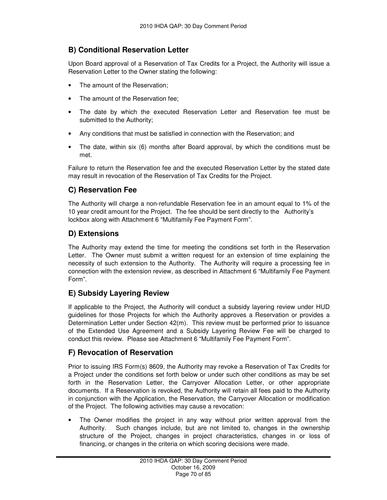## **B) Conditional Reservation Letter**

Upon Board approval of a Reservation of Tax Credits for a Project, the Authority will issue a Reservation Letter to the Owner stating the following:

- The amount of the Reservation:
- The amount of the Reservation fee:
- The date by which the executed Reservation Letter and Reservation fee must be submitted to the Authority;
- Any conditions that must be satisfied in connection with the Reservation; and
- The date, within six (6) months after Board approval, by which the conditions must be met.

Failure to return the Reservation fee and the executed Reservation Letter by the stated date may result in revocation of the Reservation of Tax Credits for the Project.

## **C) Reservation Fee**

The Authority will charge a non-refundable Reservation fee in an amount equal to 1% of the 10 year credit amount for the Project. The fee should be sent directly to the Authority's lockbox along with Attachment 6 "Multifamily Fee Payment Form".

## **D) Extensions**

The Authority may extend the time for meeting the conditions set forth in the Reservation Letter. The Owner must submit a written request for an extension of time explaining the necessity of such extension to the Authority. The Authority will require a processing fee in connection with the extension review, as described in Attachment 6 "Multifamily Fee Payment Form".

## **E) Subsidy Layering Review**

If applicable to the Project, the Authority will conduct a subsidy layering review under HUD guidelines for those Projects for which the Authority approves a Reservation or provides a Determination Letter under Section 42(m). This review must be performed prior to issuance of the Extended Use Agreement and a Subsidy Layering Review Fee will be charged to conduct this review. Please see Attachment 6 "Multifamily Fee Payment Form".

## **F) Revocation of Reservation**

Prior to issuing IRS Form(s) 8609, the Authority may revoke a Reservation of Tax Credits for a Project under the conditions set forth below or under such other conditions as may be set forth in the Reservation Letter, the Carryover Allocation Letter, or other appropriate documents. If a Reservation is revoked, the Authority will retain all fees paid to the Authority in conjunction with the Application, the Reservation, the Carryover Allocation or modification of the Project. The following activities may cause a revocation:

The Owner modifies the project in any way without prior written approval from the Authority. Such changes include, but are not limited to, changes in the ownership structure of the Project, changes in project characteristics, changes in or loss of financing, or changes in the criteria on which scoring decisions were made.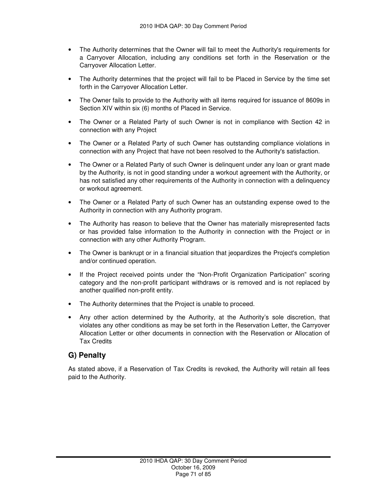- The Authority determines that the Owner will fail to meet the Authority's requirements for a Carryover Allocation, including any conditions set forth in the Reservation or the Carryover Allocation Letter.
- The Authority determines that the project will fail to be Placed in Service by the time set forth in the Carryover Allocation Letter.
- The Owner fails to provide to the Authority with all items required for issuance of 8609s in Section XIV within six (6) months of Placed in Service.
- The Owner or a Related Party of such Owner is not in compliance with Section 42 in connection with any Project
- The Owner or a Related Party of such Owner has outstanding compliance violations in connection with any Project that have not been resolved to the Authority's satisfaction.
- The Owner or a Related Party of such Owner is delinguent under any loan or grant made by the Authority, is not in good standing under a workout agreement with the Authority, or has not satisfied any other requirements of the Authority in connection with a delinquency or workout agreement.
- The Owner or a Related Party of such Owner has an outstanding expense owed to the Authority in connection with any Authority program.
- The Authority has reason to believe that the Owner has materially misrepresented facts or has provided false information to the Authority in connection with the Project or in connection with any other Authority Program.
- The Owner is bankrupt or in a financial situation that jeopardizes the Project's completion and/or continued operation.
- If the Project received points under the "Non-Profit Organization Participation" scoring category and the non-profit participant withdraws or is removed and is not replaced by another qualified non-profit entity.
- The Authority determines that the Project is unable to proceed.
- Any other action determined by the Authority, at the Authority's sole discretion, that violates any other conditions as may be set forth in the Reservation Letter, the Carryover Allocation Letter or other documents in connection with the Reservation or Allocation of Tax Credits

## **G) Penalty**

As stated above, if a Reservation of Tax Credits is revoked, the Authority will retain all fees paid to the Authority.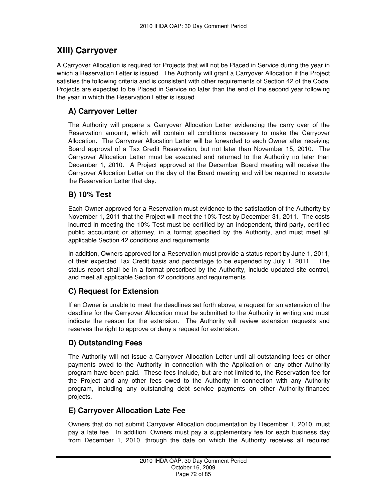# **XIII) Carryover**

A Carryover Allocation is required for Projects that will not be Placed in Service during the year in which a Reservation Letter is issued. The Authority will grant a Carryover Allocation if the Project satisfies the following criteria and is consistent with other requirements of Section 42 of the Code. Projects are expected to be Placed in Service no later than the end of the second year following the year in which the Reservation Letter is issued.

## **A) Carryover Letter**

The Authority will prepare a Carryover Allocation Letter evidencing the carry over of the Reservation amount; which will contain all conditions necessary to make the Carryover Allocation. The Carryover Allocation Letter will be forwarded to each Owner after receiving Board approval of a Tax Credit Reservation, but not later than November 15, 2010. The Carryover Allocation Letter must be executed and returned to the Authority no later than December 1, 2010. A Project approved at the December Board meeting will receive the Carryover Allocation Letter on the day of the Board meeting and will be required to execute the Reservation Letter that day.

## **B) 10% Test**

Each Owner approved for a Reservation must evidence to the satisfaction of the Authority by November 1, 2011 that the Project will meet the 10% Test by December 31, 2011. The costs incurred in meeting the 10% Test must be certified by an independent, third-party, certified public accountant or attorney, in a format specified by the Authority, and must meet all applicable Section 42 conditions and requirements.

In addition, Owners approved for a Reservation must provide a status report by June 1, 2011, of their expected Tax Credit basis and percentage to be expended by July 1, 2011. The status report shall be in a format prescribed by the Authority, include updated site control, and meet all applicable Section 42 conditions and requirements.

## **C) Request for Extension**

If an Owner is unable to meet the deadlines set forth above, a request for an extension of the deadline for the Carryover Allocation must be submitted to the Authority in writing and must indicate the reason for the extension. The Authority will review extension requests and reserves the right to approve or deny a request for extension.

## **D) Outstanding Fees**

The Authority will not issue a Carryover Allocation Letter until all outstanding fees or other payments owed to the Authority in connection with the Application or any other Authority program have been paid. These fees include, but are not limited to, the Reservation fee for the Project and any other fees owed to the Authority in connection with any Authority program, including any outstanding debt service payments on other Authority-financed projects.

## **E) Carryover Allocation Late Fee**

Owners that do not submit Carryover Allocation documentation by December 1, 2010, must pay a late fee. In addition, Owners must pay a supplementary fee for each business day from December 1, 2010, through the date on which the Authority receives all required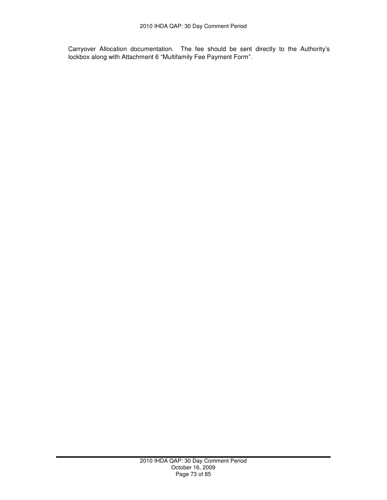Carryover Allocation documentation. The fee should be sent directly to the Authority's lockbox along with Attachment 6 "Multifamily Fee Payment Form".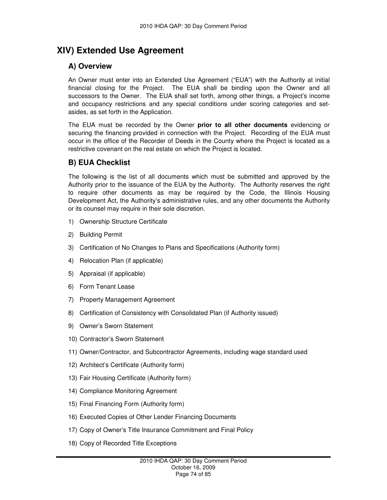# **XIV) Extended Use Agreement**

## **A) Overview**

An Owner must enter into an Extended Use Agreement ("EUA") with the Authority at initial financial closing for the Project. The EUA shall be binding upon the Owner and all successors to the Owner. The EUA shall set forth, among other things, a Project's income and occupancy restrictions and any special conditions under scoring categories and setasides, as set forth in the Application.

The EUA must be recorded by the Owner **prior to all other documents** evidencing or securing the financing provided in connection with the Project. Recording of the EUA must occur in the office of the Recorder of Deeds in the County where the Project is located as a restrictive covenant on the real estate on which the Project is located.

## **B) EUA Checklist**

The following is the list of all documents which must be submitted and approved by the Authority prior to the issuance of the EUA by the Authority. The Authority reserves the right to require other documents as may be required by the Code, the Illinois Housing Development Act, the Authority's administrative rules, and any other documents the Authority or its counsel may require in their sole discretion.

- 1) Ownership Structure Certificate
- 2) Building Permit
- 3) Certification of No Changes to Plans and Specifications (Authority form)
- 4) Relocation Plan (if applicable)
- 5) Appraisal (if applicable)
- 6) Form Tenant Lease
- 7) Property Management Agreement
- 8) Certification of Consistency with Consolidated Plan (if Authority issued)
- 9) Owner's Sworn Statement
- 10) Contractor's Sworn Statement
- 11) Owner/Contractor, and Subcontractor Agreements, including wage standard used
- 12) Architect's Certificate (Authority form)
- 13) Fair Housing Certificate (Authority form)
- 14) Compliance Monitoring Agreement
- 15) Final Financing Form (Authority form)
- 16) Executed Copies of Other Lender Financing Documents
- 17) Copy of Owner's Title Insurance Commitment and Final Policy
- 18) Copy of Recorded Title Exceptions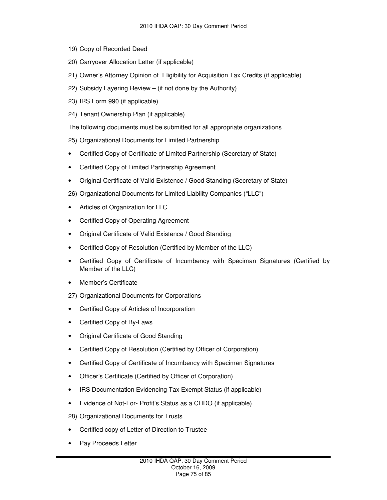- 19) Copy of Recorded Deed
- 20) Carryover Allocation Letter (if applicable)
- 21) Owner's Attorney Opinion of Eligibility for Acquisition Tax Credits (if applicable)
- 22) Subsidy Layering Review (if not done by the Authority)
- 23) IRS Form 990 (if applicable)
- 24) Tenant Ownership Plan (if applicable)
- The following documents must be submitted for all appropriate organizations.
- 25) Organizational Documents for Limited Partnership
- Certified Copy of Certificate of Limited Partnership (Secretary of State)
- Certified Copy of Limited Partnership Agreement
- Original Certificate of Valid Existence / Good Standing (Secretary of State)
- 26) Organizational Documents for Limited Liability Companies ("LLC")
- Articles of Organization for LLC
- Certified Copy of Operating Agreement
- Original Certificate of Valid Existence / Good Standing
- Certified Copy of Resolution (Certified by Member of the LLC)
- Certified Copy of Certificate of Incumbency with Speciman Signatures (Certified by Member of the LLC)
- Member's Certificate
- 27) Organizational Documents for Corporations
- Certified Copy of Articles of Incorporation
- Certified Copy of By-Laws
- Original Certificate of Good Standing
- Certified Copy of Resolution (Certified by Officer of Corporation)
- Certified Copy of Certificate of Incumbency with Speciman Signatures
- Officer's Certificate (Certified by Officer of Corporation)
- IRS Documentation Evidencing Tax Exempt Status (if applicable)
- Evidence of Not-For- Profit's Status as a CHDO (if applicable)
- 28) Organizational Documents for Trusts
- Certified copy of Letter of Direction to Trustee
- Pay Proceeds Letter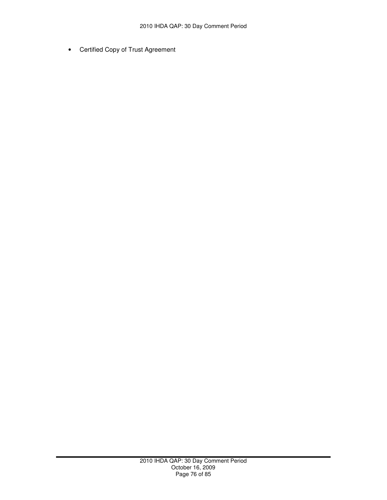• Certified Copy of Trust Agreement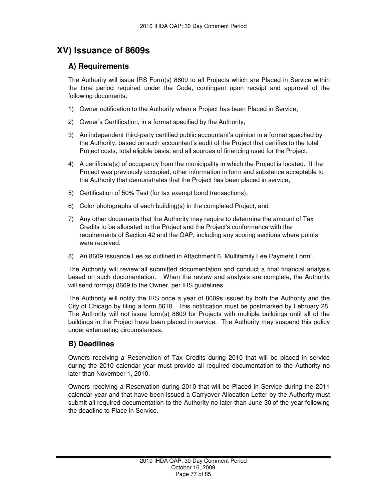## **XV) Issuance of 8609s**

## **A) Requirements**

The Authority will issue IRS Form(s) 8609 to all Projects which are Placed in Service within the time period required under the Code, contingent upon receipt and approval of the following documents:

- 1) Owner notification to the Authority when a Project has been Placed in Service;
- 2) Owner's Certification, in a format specified by the Authority;
- 3) An independent third-party certified public accountant's opinion in a format specified by the Authority, based on such accountant's audit of the Project that certifies to the total Project costs, total eligible basis, and all sources of financing used for the Project;
- 4) A certificate(s) of occupancy from the municipality in which the Project is located. If the Project was previously occupied, other information in form and substance acceptable to the Authority that demonstrates that the Project has been placed in service;
- 5) Certification of 50% Test (for tax exempt bond transactions);
- 6) Color photographs of each building(s) in the completed Project; and
- 7) Any other documents that the Authority may require to determine the amount of Tax Credits to be allocated to the Project and the Project's conformance with the requirements of Section 42 and the QAP, including any scoring sections where points were received.
- 8) An 8609 Issuance Fee as outlined in Attachment 6 "Multifamily Fee Payment Form".

The Authority will review all submitted documentation and conduct a final financial analysis based on such documentation. When the review and analysis are complete, the Authority will send form(s) 8609 to the Owner, per IRS guidelines.

The Authority will notify the IRS once a year of 8609s issued by both the Authority and the City of Chicago by filing a form 8610. This notification must be postmarked by February 28. The Authority will not issue form(s) 8609 for Projects with multiple buildings until all of the buildings in the Project have been placed in service. The Authority may suspend this policy under extenuating circumstances.

## **B) Deadlines**

Owners receiving a Reservation of Tax Credits during 2010 that will be placed in service during the 2010 calendar year must provide all required documentation to the Authority no later than November 1, 2010.

Owners receiving a Reservation during 2010 that will be Placed in Service during the 2011 calendar year and that have been issued a Carryover Allocation Letter by the Authority must submit all required documentation to the Authority no later than June 30 of the year following the deadline to Place in Service.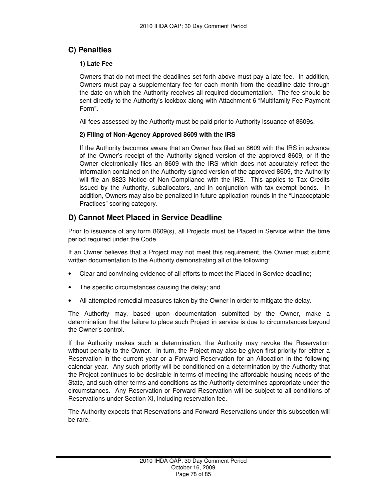## **C) Penalties**

#### **1) Late Fee**

Owners that do not meet the deadlines set forth above must pay a late fee. In addition, Owners must pay a supplementary fee for each month from the deadline date through the date on which the Authority receives all required documentation. The fee should be sent directly to the Authority's lockbox along with Attachment 6 "Multifamily Fee Payment Form".

All fees assessed by the Authority must be paid prior to Authority issuance of 8609s.

#### **2) Filing of Non-Agency Approved 8609 with the IRS**

If the Authority becomes aware that an Owner has filed an 8609 with the IRS in advance of the Owner's receipt of the Authority signed version of the approved 8609, or if the Owner electronically files an 8609 with the IRS which does not accurately reflect the information contained on the Authority-signed version of the approved 8609, the Authority will file an 8823 Notice of Non-Compliance with the IRS. This applies to Tax Credits issued by the Authority, suballocators, and in conjunction with tax-exempt bonds. In addition, Owners may also be penalized in future application rounds in the "Unacceptable Practices" scoring category.

### **D) Cannot Meet Placed in Service Deadline**

Prior to issuance of any form 8609(s), all Projects must be Placed in Service within the time period required under the Code.

If an Owner believes that a Project may not meet this requirement, the Owner must submit written documentation to the Authority demonstrating all of the following:

- Clear and convincing evidence of all efforts to meet the Placed in Service deadline;
- The specific circumstances causing the delay; and
- All attempted remedial measures taken by the Owner in order to mitigate the delay.

The Authority may, based upon documentation submitted by the Owner, make a determination that the failure to place such Project in service is due to circumstances beyond the Owner's control.

If the Authority makes such a determination, the Authority may revoke the Reservation without penalty to the Owner. In turn, the Project may also be given first priority for either a Reservation in the current year or a Forward Reservation for an Allocation in the following calendar year. Any such priority will be conditioned on a determination by the Authority that the Project continues to be desirable in terms of meeting the affordable housing needs of the State, and such other terms and conditions as the Authority determines appropriate under the circumstances. Any Reservation or Forward Reservation will be subject to all conditions of Reservations under Section XI, including reservation fee.

The Authority expects that Reservations and Forward Reservations under this subsection will be rare.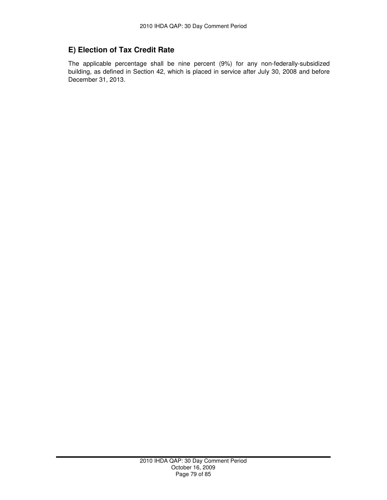## **E) Election of Tax Credit Rate**

The applicable percentage shall be nine percent (9%) for any non-federally-subsidized building, as defined in Section 42, which is placed in service after July 30, 2008 and before December 31, 2013.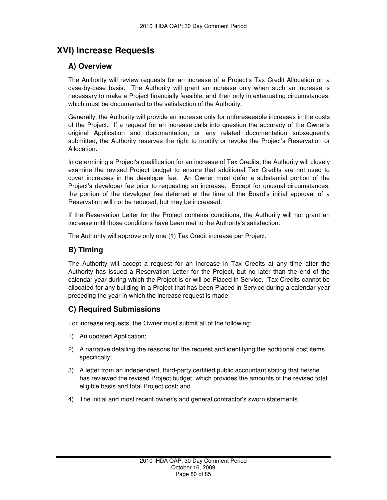## **XVI) Increase Requests**

## **A) Overview**

The Authority will review requests for an increase of a Project's Tax Credit Allocation on a case-by-case basis. The Authority will grant an increase only when such an increase is necessary to make a Project financially feasible, and then only in extenuating circumstances, which must be documented to the satisfaction of the Authority.

Generally, the Authority will provide an increase only for unforeseeable increases in the costs of the Project. If a request for an increase calls into question the accuracy of the Owner's original Application and documentation, or any related documentation subsequently submitted, the Authority reserves the right to modify or revoke the Project's Reservation or Allocation.

In determining a Project's qualification for an increase of Tax Credits, the Authority will closely examine the revised Project budget to ensure that additional Tax Credits are not used to cover increases in the developer fee. An Owner must defer a substantial portion of the Project's developer fee prior to requesting an increase. Except for unusual circumstances, the portion of the developer fee deferred at the time of the Board's initial approval of a Reservation will not be reduced, but may be increased.

If the Reservation Letter for the Project contains conditions, the Authority will not grant an increase until those conditions have been met to the Authority's satisfaction.

The Authority will approve only one (1) Tax Credit increase per Project.

#### **B) Timing**

The Authority will accept a request for an increase in Tax Credits at any time after the Authority has issued a Reservation Letter for the Project, but no later than the end of the calendar year during which the Project is or will be Placed in Service. Tax Credits cannot be allocated for any building in a Project that has been Placed in Service during a calendar year preceding the year in which the increase request is made.

#### **C) Required Submissions**

For increase requests, the Owner must submit all of the following:

- 1) An updated Application;
- 2) A narrative detailing the reasons for the request and identifying the additional cost items specifically;
- 3) A letter from an independent, third-party certified public accountant stating that he/she has reviewed the revised Project budget, which provides the amounts of the revised total eligible basis and total Project cost; and
- 4) The initial and most recent owner's and general contractor's sworn statements.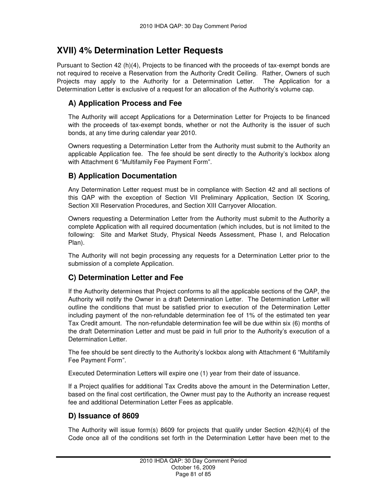## **XVII) 4% Determination Letter Requests**

Pursuant to Section 42 (h)(4), Projects to be financed with the proceeds of tax-exempt bonds are not required to receive a Reservation from the Authority Credit Ceiling. Rather, Owners of such Projects may apply to the Authority for a Determination Letter. The Application for a Determination Letter is exclusive of a request for an allocation of the Authority's volume cap.

### **A) Application Process and Fee**

The Authority will accept Applications for a Determination Letter for Projects to be financed with the proceeds of tax-exempt bonds, whether or not the Authority is the issuer of such bonds, at any time during calendar year 2010.

Owners requesting a Determination Letter from the Authority must submit to the Authority an applicable Application fee. The fee should be sent directly to the Authority's lockbox along with Attachment 6 "Multifamily Fee Payment Form".

### **B) Application Documentation**

Any Determination Letter request must be in compliance with Section 42 and all sections of this QAP with the exception of Section VII Preliminary Application, Section IX Scoring, Section XII Reservation Procedures, and Section XIII Carryover Allocation.

Owners requesting a Determination Letter from the Authority must submit to the Authority a complete Application with all required documentation (which includes, but is not limited to the following: Site and Market Study, Physical Needs Assessment, Phase I, and Relocation Plan).

The Authority will not begin processing any requests for a Determination Letter prior to the submission of a complete Application.

## **C) Determination Letter and Fee**

If the Authority determines that Project conforms to all the applicable sections of the QAP, the Authority will notify the Owner in a draft Determination Letter. The Determination Letter will outline the conditions that must be satisfied prior to execution of the Determination Letter including payment of the non-refundable determination fee of 1% of the estimated ten year Tax Credit amount. The non-refundable determination fee will be due within six (6) months of the draft Determination Letter and must be paid in full prior to the Authority's execution of a Determination Letter.

The fee should be sent directly to the Authority's lockbox along with Attachment 6 "Multifamily Fee Payment Form".

Executed Determination Letters will expire one (1) year from their date of issuance.

If a Project qualifies for additional Tax Credits above the amount in the Determination Letter, based on the final cost certification, the Owner must pay to the Authority an increase request fee and additional Determination Letter Fees as applicable.

#### **D) Issuance of 8609**

The Authority will issue form(s) 8609 for projects that qualify under Section 42(h)(4) of the Code once all of the conditions set forth in the Determination Letter have been met to the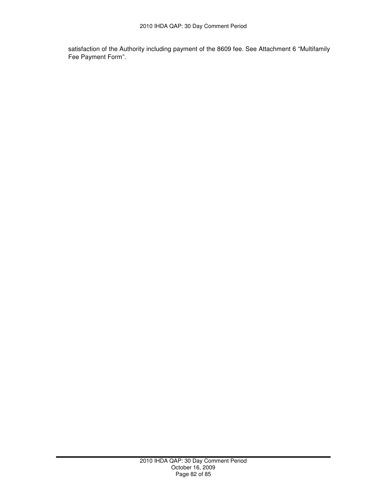satisfaction of the Authority including payment of the 8609 fee. See Attachment 6 "Multifamily Fee Payment Form".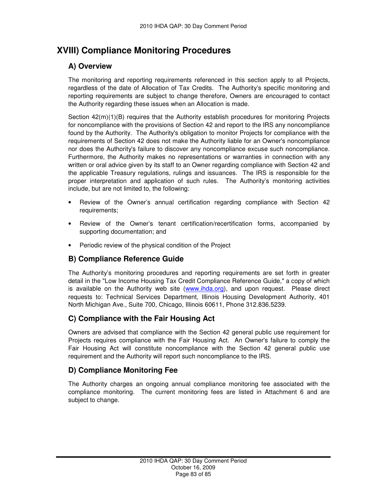# **XVIII) Compliance Monitoring Procedures**

## **A) Overview**

The monitoring and reporting requirements referenced in this section apply to all Projects, regardless of the date of Allocation of Tax Credits. The Authority's specific monitoring and reporting requirements are subject to change therefore, Owners are encouraged to contact the Authority regarding these issues when an Allocation is made.

Section  $42(m)(1)(B)$  requires that the Authority establish procedures for monitoring Projects for noncompliance with the provisions of Section 42 and report to the IRS any noncompliance found by the Authority. The Authority's obligation to monitor Projects for compliance with the requirements of Section 42 does not make the Authority liable for an Owner's noncompliance nor does the Authority's failure to discover any noncompliance excuse such noncompliance. Furthermore, the Authority makes no representations or warranties in connection with any written or oral advice given by its staff to an Owner regarding compliance with Section 42 and the applicable Treasury regulations, rulings and issuances. The IRS is responsible for the proper interpretation and application of such rules. The Authority's monitoring activities include, but are not limited to, the following:

- Review of the Owner's annual certification regarding compliance with Section 42 requirements;
- Review of the Owner's tenant certification/recertification forms, accompanied by supporting documentation; and
- Periodic review of the physical condition of the Project

## **B) Compliance Reference Guide**

The Authority's monitoring procedures and reporting requirements are set forth in greater detail in the "Low Income Housing Tax Credit Compliance Reference Guide," a copy of which is available on the Authority web site (www.ihda.org), and upon request. Please direct requests to: Technical Services Department, Illinois Housing Development Authority, 401 North Michigan Ave., Suite 700, Chicago, Illinois 60611, Phone 312.836.5239.

#### **C) Compliance with the Fair Housing Act**

Owners are advised that compliance with the Section 42 general public use requirement for Projects requires compliance with the Fair Housing Act. An Owner's failure to comply the Fair Housing Act will constitute noncompliance with the Section 42 general public use requirement and the Authority will report such noncompliance to the IRS.

## **D) Compliance Monitoring Fee**

The Authority charges an ongoing annual compliance monitoring fee associated with the compliance monitoring. The current monitoring fees are listed in Attachment 6 and are subject to change.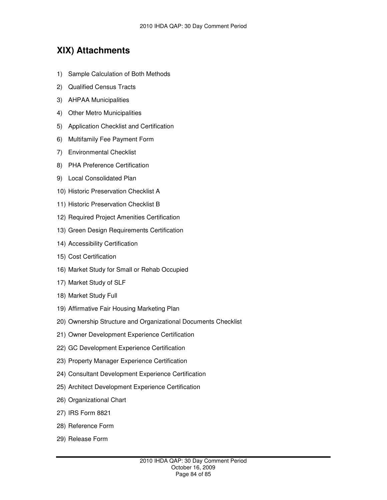## **XIX) Attachments**

- 1) Sample Calculation of Both Methods
- 2) Qualified Census Tracts
- 3) AHPAA Municipalities
- 4) Other Metro Municipalities
- 5) Application Checklist and Certification
- 6) Multifamily Fee Payment Form
- 7) Environmental Checklist
- 8) PHA Preference Certification
- 9) Local Consolidated Plan
- 10) Historic Preservation Checklist A
- 11) Historic Preservation Checklist B
- 12) Required Project Amenities Certification
- 13) Green Design Requirements Certification
- 14) Accessibility Certification
- 15) Cost Certification
- 16) Market Study for Small or Rehab Occupied
- 17) Market Study of SLF
- 18) Market Study Full
- 19) Affirmative Fair Housing Marketing Plan
- 20) Ownership Structure and Organizational Documents Checklist
- 21) Owner Development Experience Certification
- 22) GC Development Experience Certification
- 23) Property Manager Experience Certification
- 24) Consultant Development Experience Certification
- 25) Architect Development Experience Certification
- 26) Organizational Chart
- 27) IRS Form 8821
- 28) Reference Form
- 29) Release Form